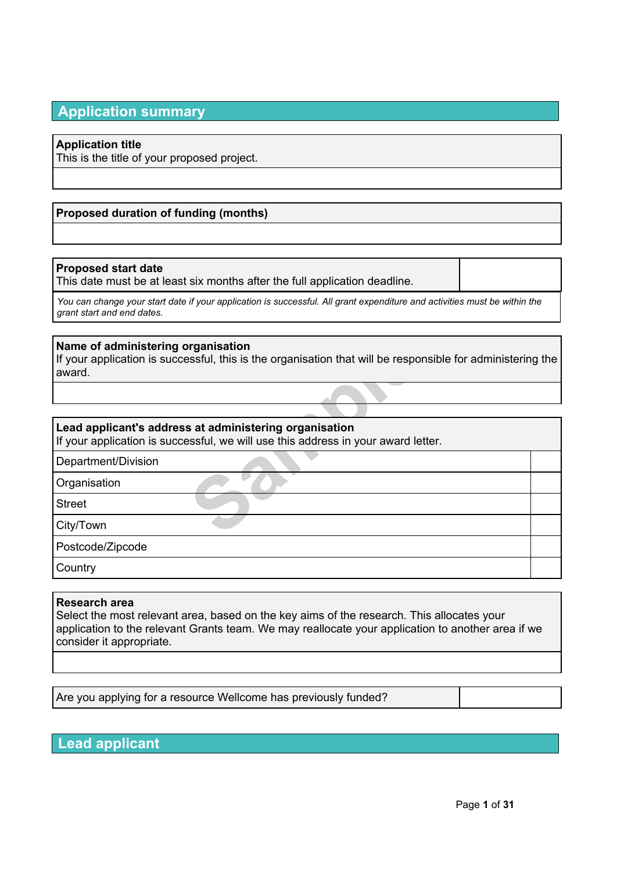# **Application summary**

# **Application title**

This is the title of your proposed project.

# **Proposed duration of funding (months)**

# **Proposed start date**

This date must be at least six months after the full application deadline.

You can change your start date if your application is successful. All grant expenditure and activities must be within the *grant start and end dates.*

### **Name of administering organisation**

**Sample Seconds Asset Assets that will be responsed as at administering organisation sesful, we will use this address in your award letter and the second of the set of the set of the second of the set of the set of the set** If your application is successful, this is the organisation that will be responsible for administering the award.

# **Lead applicant's address at administering organisation**

If your application is successful, we will use this address in your award letter.

Department/Division

**Organisation** 

Street

City/Town

Postcode/Zipcode

**Country** 

### **Research area**

Select the most relevant area, based on the key aims of the research. This allocates your application to the relevant Grants team. We may reallocate your application to another area if we consider it appropriate.

Are you applying for a resource Wellcome has previously funded?

**Lead applicant**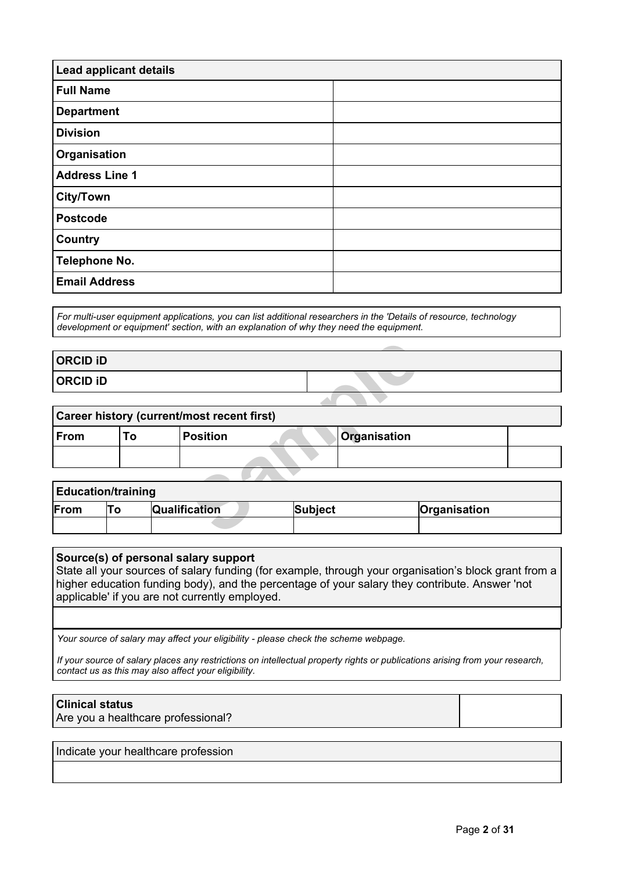| <b>Lead applicant details</b> |  |  |  |  |
|-------------------------------|--|--|--|--|
| <b>Full Name</b>              |  |  |  |  |
| <b>Department</b>             |  |  |  |  |
| <b>Division</b>               |  |  |  |  |
| Organisation                  |  |  |  |  |
| <b>Address Line 1</b>         |  |  |  |  |
| <b>City/Town</b>              |  |  |  |  |
| <b>Postcode</b>               |  |  |  |  |
| <b>Country</b>                |  |  |  |  |
| <b>Telephone No.</b>          |  |  |  |  |
| <b>Email Address</b>          |  |  |  |  |

*For multi-user equipment applications, you can list additional researchers in the 'Details of resource, technology development or equipment' section, with an explanation of why they need the equipment.*

# **ORCID iD ORCID iD**

# **Career history (current/most recent first)**

| <b>ORCID ID</b> |                           |                                            |                |                     |              |  |
|-----------------|---------------------------|--------------------------------------------|----------------|---------------------|--------------|--|
| <b>ORCID ID</b> |                           |                                            |                |                     |              |  |
|                 |                           |                                            |                |                     |              |  |
|                 |                           | Career history (current/most recent first) |                |                     |              |  |
| From            | To                        | <b>Position</b>                            |                | <b>Organisation</b> |              |  |
|                 |                           |                                            |                |                     |              |  |
|                 |                           |                                            |                |                     |              |  |
|                 | <b>Education/training</b> |                                            |                |                     |              |  |
| From            | To                        | Qualification                              | <b>Subject</b> |                     | Organisation |  |
|                 |                           |                                            |                |                     |              |  |

| <b>Education/training</b>                               |  |  |  |  |  |  |
|---------------------------------------------------------|--|--|--|--|--|--|
| From<br><b>Qualification</b><br>Subject<br>Organisation |  |  |  |  |  |  |
|                                                         |  |  |  |  |  |  |

#### **Source(s) of personal salary support**

State all your sources of salary funding (for example, through your organisation's block grant from a higher education funding body), and the percentage of your salary they contribute. Answer 'not applicable' if you are not currently employed.

*Your source of salary may affect your eligibility - please check the scheme webpage.*

If your source of salary places any restrictions on intellectual property rights or publications arising from your research, *contact us as this may also affect your eligibility.*

# **Clinical status**

Are you a healthcare professional?

Indicate your healthcare profession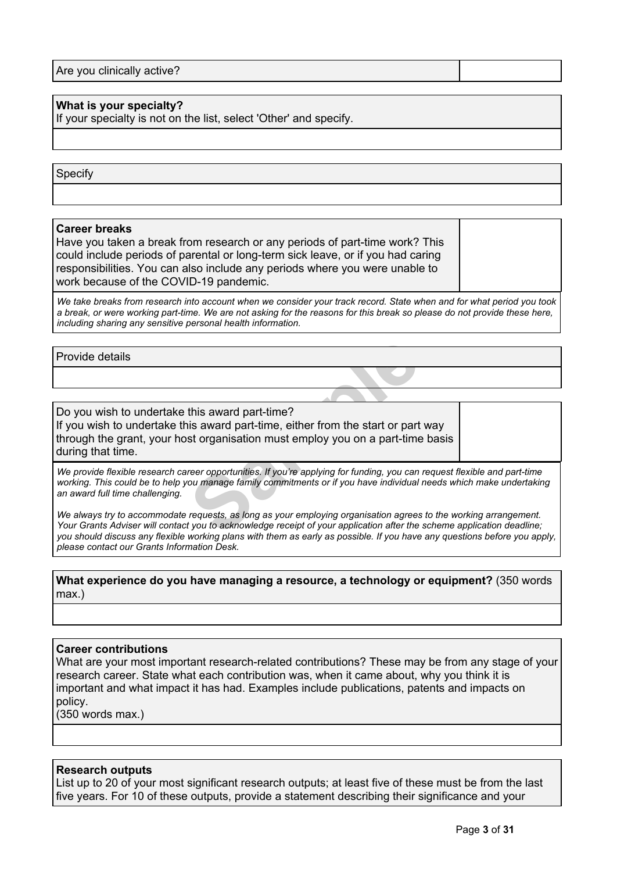| Are you clinically active? |  |
|----------------------------|--|
|                            |  |

# **What is your specialty?**

If your specialty is not on the list, select 'Other' and specify.

### Specify

#### **Career breaks**

Have you taken a break from research or any periods of part-time work? This could include periods of parental or long-term sick leave, or if you had caring responsibilities. You can also include any periods where you were unable to work because of the COVID-19 pandemic.

We take breaks from research into account when we consider your track record. State when and for what period you took a break, or were working part-time. We are not asking for the reasons for this break so please do not provide these here, *including sharing any sensitive personal health information.*

### Provide details

this award part-time?<br>
is award part-time, either from the start or part<br>
st organisation must employ you on a part-time<br>
reer opportunities. If you're applying for funding, you can<br>
you to acknowledge receipt of you have Do you wish to undertake this award part-time? If you wish to undertake this award part-time, either from the start or part way through the grant, your host organisation must employ you on a part-time basis during that time.

We provide flexible research career opportunities. If you're applying for funding, you can request flexible and part-time working. This could be to help you manage family commitments or if you have individual needs which make undertaking *an award full time challenging.*

We always try to accommodate requests, as long as your employing organisation agrees to the working arrangement. Your Grants Adviser will contact you to acknowledge receipt of your application after the scheme application deadline; you should discuss any flexible working plans with them as early as possible. If you have any questions before you apply, *please contact our Grants Information Desk.*

# **What experience do you have managing a resource, a technology or equipment?** (350 words max.)

#### **Career contributions**

What are your most important research-related contributions? These may be from any stage of your research career. State what each contribution was, when it came about, why you think it is important and what impact it has had. Examples include publications, patents and impacts on policy.

(350 words max.)

### **Research outputs**

List up to 20 of your most significant research outputs; at least five of these must be from the last five years. For 10 of these outputs, provide a statement describing their significance and your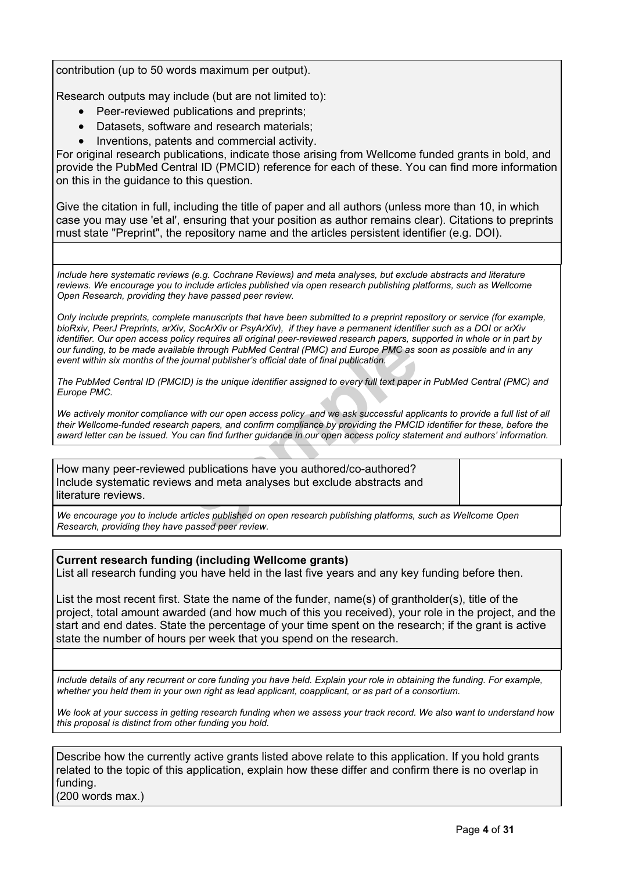contribution (up to 50 words maximum per output).

Research outputs may include (but are not limited to):

- Peer-reviewed publications and preprints;
- Datasets, software and research materials;
- Inventions, patents and commercial activity.

For original research publications, indicate those arising from Wellcome funded grants in bold, and provide the PubMed Central ID (PMCID) reference for each of these. You can find more information on this in the guidance to this question.

Give the citation in full, including the title of paper and all authors (unless more than 10, in which case you may use 'et al', ensuring that your position as author remains clear). Citations to preprints must state "Preprint", the repository name and the articles persistent identifier (e.g. DOI).

*Include here systematic reviews (e.g. Cochrane Reviews) and meta analyses, but exclude abstracts and literature reviews. We encourage you to include articles published via open research publishing platforms, such as Wellcome Open Research, providing they have passed peer review.*

Only include preprints, complete manuscripts that have been submitted to a preprint repository or service (for example, bioRxiv, PeerJ Preprints, arXiv, SocArXiv or PsyArXiv), if they have a permanent identifier such as a DOI or arXiv identifier. Our open access policy requires all original peer-reviewed research papers, supported in whole or in part by our funding, to be made available through PubMed Central (PMC) and Europe PMC as soon as possible and in any *event within six months of the journal publisher's official date of final publication.*

The PubMed Central ID (PMCID) is the unique identifier assigned to every full text paper in PubMed Central (PMC) and *Europe PMC.*

We actively monitor compliance with our open access policy and we ask successful applicants to provide a full list of all their Wellcome-funded research papers, and confirm compliance by providing the PMCID identifier for these, before the award letter can be issued. You can find further guidance in our open access policy statement and authors' information.

Say requires an original peer-reviewed research papers, sufficient through PubMed Central (PMC) and Europe PMC as sournal publisher's official date of final publication.<br>
(b) is the unique identifier assigned to every full How many peer-reviewed publications have you authored/co-authored? Include systematic reviews and meta analyses but exclude abstracts and literature reviews.

*We encourage you to include articles published on open research publishing platforms, such as Wellcome Open Research, providing they have passed peer review.*

# **Current research funding (including Wellcome grants)**

List all research funding you have held in the last five years and any key funding before then.

List the most recent first. State the name of the funder, name(s) of grantholder(s), title of the project, total amount awarded (and how much of this you received), your role in the project, and the start and end dates. State the percentage of your time spent on the research; if the grant is active state the number of hours per week that you spend on the research.

Include details of any recurrent or core funding you have held. Explain your role in obtaining the funding. For example, whether you held them in your own right as lead applicant, coapplicant, or as part of a consortium.

We look at your success in getting research funding when we assess your track record. We also want to understand how *this proposal is distinct from other funding you hold.*

Describe how the currently active grants listed above relate to this application. If you hold grants related to the topic of this application, explain how these differ and confirm there is no overlap in funding. (200 words max.)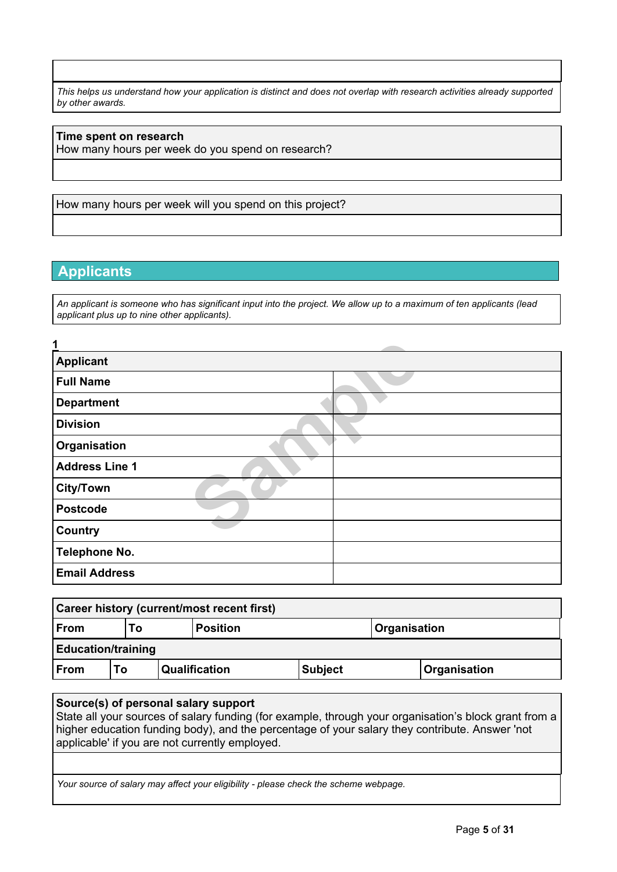This helps us understand how your application is distinct and does not overlap with research activities already supported *by other awards.*

# **Time spent on research**

How many hours per week do you spend on research?

How many hours per week will you spend on this project?

# **Applicants**

An applicant is someone who has significant input into the project. We allow up to a maximum of ten applicants (lead *applicant plus up to nine other applicants).*

| 1                     |  |
|-----------------------|--|
| <b>Applicant</b>      |  |
| <b>Full Name</b>      |  |
| <b>Department</b>     |  |
| <b>Division</b>       |  |
| Organisation          |  |
| <b>Address Line 1</b> |  |
| <b>City/Town</b>      |  |
| <b>Postcode</b>       |  |
| Country               |  |
| Telephone No.         |  |
| <b>Email Address</b>  |  |

| Career history (current/most recent first) |                                              |  |               |                |  |              |
|--------------------------------------------|----------------------------------------------|--|---------------|----------------|--|--------------|
| From                                       | <b>Organisation</b><br><b>Position</b><br>Γо |  |               |                |  |              |
| <b>Education/training</b>                  |                                              |  |               |                |  |              |
| $ $ From                                   | Т٥                                           |  | Qualification | <b>Subject</b> |  | Organisation |

# **Source(s) of personal salary support**

State all your sources of salary funding (for example, through your organisation's block grant from a higher education funding body), and the percentage of your salary they contribute. Answer 'not applicable' if you are not currently employed.

*Your source of salary may affect your eligibility - please check the scheme webpage.*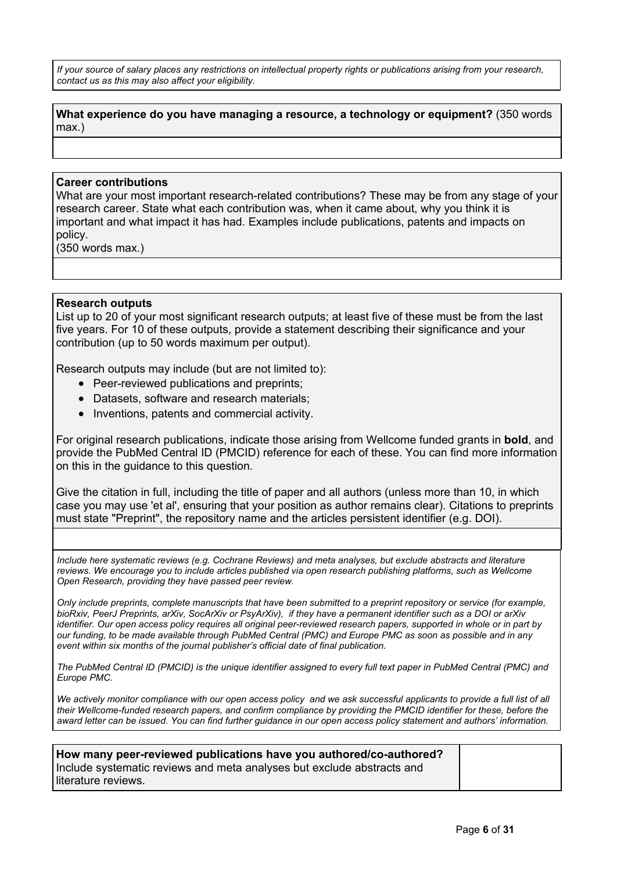If your source of salary places any restrictions on intellectual property rights or publications arising from your research. *contact us as this may also affect your eligibility.*

# **What experience do you have managing a resource, a technology or equipment?** (350 words max.)

### **Career contributions**

What are your most important research-related contributions? These may be from any stage of your research career. State what each contribution was, when it came about, why you think it is important and what impact it has had. Examples include publications, patents and impacts on policy.

(350 words max.)

### **Research outputs**

List up to 20 of your most significant research outputs; at least five of these must be from the last five years. For 10 of these outputs, provide a statement describing their significance and your contribution (up to 50 words maximum per output).

Research outputs may include (but are not limited to):

- Peer-reviewed publications and preprints;
- Datasets, software and research materials;
- Inventions, patents and commercial activity.

ds maximum per output).<br>
Sample (but are not limited to):<br>
Dications and preprints;<br>
and research materials;<br>
Sample preprints;<br>
Sample preprints;<br>
Sample preprints;<br>
Sample preprints (value of the preprience for the prepr For original research publications, indicate those arising from Wellcome funded grants in **bold**, and provide the PubMed Central ID (PMCID) reference for each of these. You can find more information on this in the guidance to this question.

Give the citation in full, including the title of paper and all authors (unless more than 10, in which case you may use 'et al', ensuring that your position as author remains clear). Citations to preprints must state "Preprint", the repository name and the articles persistent identifier (e.g. DOI).

*Include here systematic reviews (e.g. Cochrane Reviews) and meta analyses, but exclude abstracts and literature reviews. We encourage you to include articles published via open research publishing platforms, such as Wellcome Open Research, providing they have passed peer review.*

Only include preprints, complete manuscripts that have been submitted to a preprint repository or service (for example, bioRxiv, PeerJ Preprints, arXiv, SocArXiv or PsyArXiv), if they have a permanent identifier such as a DOI or arXiv identifier. Our open access policy requires all original peer-reviewed research papers, supported in whole or in part by our funding, to be made available through PubMed Central (PMC) and Europe PMC as soon as possible and in any *event within six months of the journal publisher's official date of final publication.*

The PubMed Central ID (PMCID) is the unique identifier assigned to every full text paper in PubMed Central (PMC) and *Europe PMC.*

We actively monitor compliance with our open [access](https://wellcome.org/funding/guidance/open-access-policy) policy and we ask successful applicants to provide a full list of all their Wellcome-funded research papers, and confirm compliance by providing the PMCID identifier for these, before the award letter can be issued. You can find further guidance in our open access policy statement and authors' information.

**How many peer-reviewed publications have you authored/co-authored?** Include systematic reviews and meta analyses but exclude abstracts and literature reviews.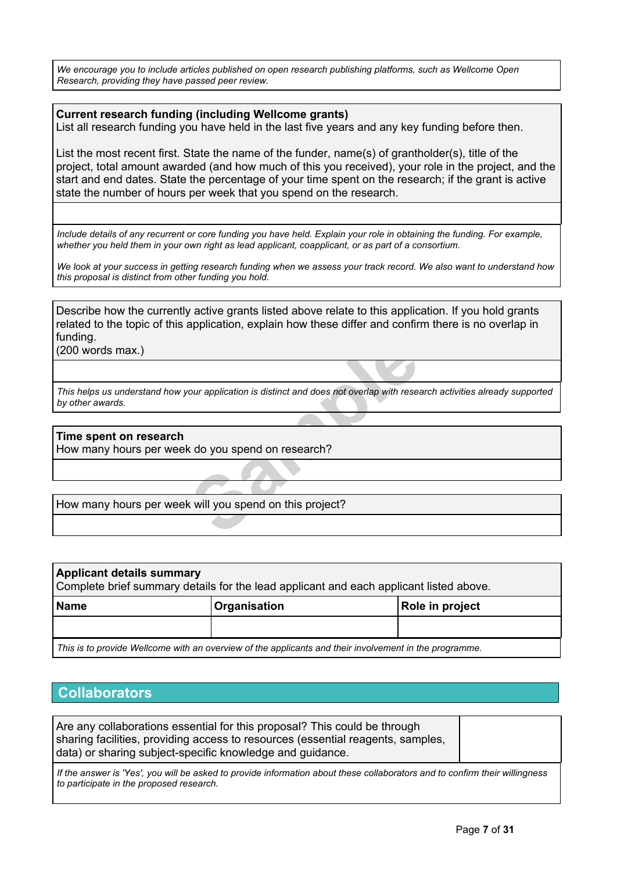*We encourage you to include articles published on open research publishing platforms, such as Wellcome Open Research, providing they have passed peer review.*

# **Current research funding (including Wellcome grants)**

List all research funding you have held in the last five years and any key funding before then.

List the most recent first. State the name of the funder, name(s) of grantholder(s), title of the project, total amount awarded (and how much of this you received), your role in the project, and the start and end dates. State the percentage of your time spent on the research; if the grant is active state the number of hours per week that you spend on the research.

Include details of any recurrent or core funding you have held. Explain your role in obtaining the funding. For example, whether you held them in your own right as lead applicant, coapplicant, or as part of a consortium.

We look at your success in getting research funding when we assess your track record. We also want to understand how *this proposal is distinct from other funding you hold.*

Describe how the currently active grants listed above relate to this application. If you hold grants related to the topic of this application, explain how these differ and confirm there is no overlap in funding.

(200 words max.)

For application is distinct and does not overlap with resea<br>
K do you spend on research?<br>
K will you spend on this project? This helps us understand how your application is distinct and does not overlap with research activities already supported *by other awards.*

**Time spent on research** How many hours per week do you spend on research?

How many hours per week will you spend on this project?

| <b>Applicant details summary</b><br>Complete brief summary details for the lead applicant and each applicant listed above. |  |  |  |  |  |  |
|----------------------------------------------------------------------------------------------------------------------------|--|--|--|--|--|--|
| Role in project<br><b>Organisation</b><br><b>Name</b>                                                                      |  |  |  |  |  |  |
|                                                                                                                            |  |  |  |  |  |  |

*This is to provide Wellcome with an overview of the applicants and their involvement in the programme.*

# **Collaborators**

Are any collaborations essential for this proposal? This could be through sharing facilities, providing access to resources (essential reagents, samples, data) or sharing subject-specific knowledge and guidance.

If the answer is 'Yes', you will be asked to provide information about these collaborators and to confirm their willingness *to participate in the proposed research.*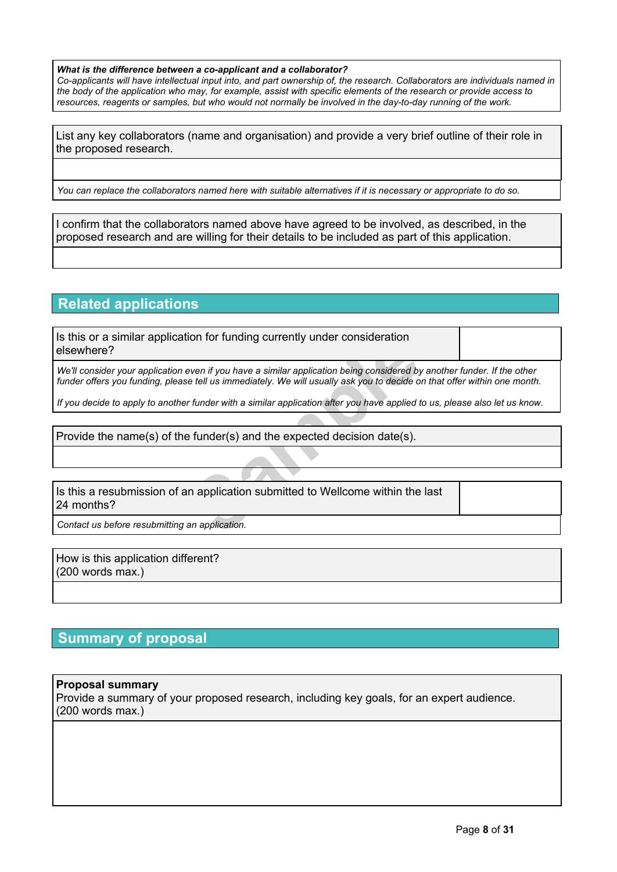#### *What is the difference between a co-applicant and a collaborator?*

Co-applicants will have intellectual input into, and part ownership of, the research. Collaborators are individuals named in the body of the application who may, for example, assist with specific elements of the research or provide access to resources, reagents or samples, but who would not normally be involved in the day-to-day running of the work.

List any key collaborators (name and organisation) and provide a very brief outline of their role in the proposed research.

You can replace the collaborators named here with suitable alternatives if it is necessary or appropriate to do so.

I confirm that the collaborators named above have agreed to be involved, as described, in the proposed research and are willing for their details to be included as part of this application.

# **Related applications**

Is this or a similar application for funding currently under consideration elsewhere?

We'll consider your application even if you have a similar application being considered by another funder. If the other funder offers you funding, please tell us immediately. We will usually ask you to decide on that offer within one month.

If you decide to apply to another funder with a similar application after you have applied to us, please also let us know.

Provide the name(s) of the funder(s) and the expected decision date(s).

From tot funding currently direct consideration<br>From the tell us immediately. We will usually ask you to decide of<br>Fromder with a similar application after you have applied to<br>Funder(S) and the expected decision date(S).<br>I Is this a resubmission of an application submitted to Wellcome within the last 24 months?

*Contact us before resubmitting an application.*

How is this application different? (200 words max.)

# **Summary of proposal**

# **Proposal summary**

Provide a summary of your proposed research, including key goals, for an expert audience. (200 words max.)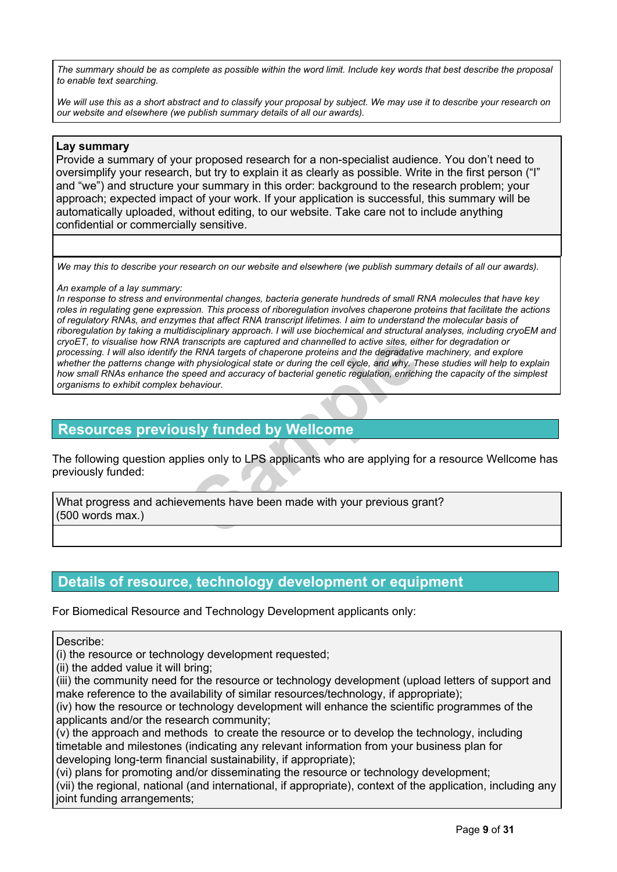The summary should be as complete as possible within the word limit. Include key words that best describe the proposal *to enable text searching.*

We will use this as a short abstract and to classify your proposal by subject. We may use it to describe your research on *our website and elsewhere (we publish summary details of all our awards).*

# **Lay summary**

Provide a summary of your proposed research for a non-specialist audience. You don't need to oversimplify your research, but try to explain it as clearly as possible. Write in the first person ("I" and "we") and structure your summary in this order: background to the research problem; your approach; expected impact of your work. If your application is successful, this summary will be automatically uploaded, without editing, to our website. Take care not to include anything confidential or commercially sensitive.

We may this to describe your research on our website and elsewhere (we publish summary details of all our awards).

#### *An example of a lay summary:*

ranscripts are captured and channelled to active sites, eithe RNA targets of chaperone proteins and the degradative<br>th physiological state or during the cell cycle, and why. The<br>peed and accuracy of bacterial genetic regul In response to stress and environmental changes, bacteria generate hundreds of small RNA molecules that have key roles in regulating gene expression. This process of riboregulation involves chaperone proteins that facilitate the actions of regulatory RNAs, and enzymes that affect RNA transcript lifetimes. I aim to understand the molecular basis of riboregulation by taking a multidisciplinary approach. I will use biochemical and structural analyses, including cryoEM and cryoET, to visualise how RNA transcripts are captured and channelled to active sites, either for degradation or processing. I will also identify the RNA targets of chaperone proteins and the degradative machinery, and explore whether the patterns change with physiological state or during the cell cycle, and why. These studies will help to explain how small RNAs enhance the speed and accuracy of bacterial genetic regulation, enriching the capacity of the simplest *organisms to exhibit complex behaviour.*

# **Resources previously funded by Wellcome**

The following question applies only to LPS applicants who are applying for a resource Wellcome has previously funded:

What progress and achievements have been made with your previous grant? (500 words max.)

# **Details of resource, technology development or equipment**

For Biomedical Resource and Technology Development applicants only:

Describe:

(i) the resource or technology development requested;

(ii) the added value it will bring;

(iii) the community need for the resource or technology development (upload letters of support and make reference to the availability of similar resources/technology, if appropriate);

(iv) how the resource or technology development will enhance the scientific programmes of the applicants and/or the research community;

(v) the approach and methods to create the resource or to develop the technology, including timetable and milestones (indicating any relevant information from your business plan for developing long-term financial sustainability, if appropriate);

(vi) plans for promoting and/or disseminating the resource or technology development; (vii) the regional, national (and international, if appropriate), context of the application, including any joint funding arrangements;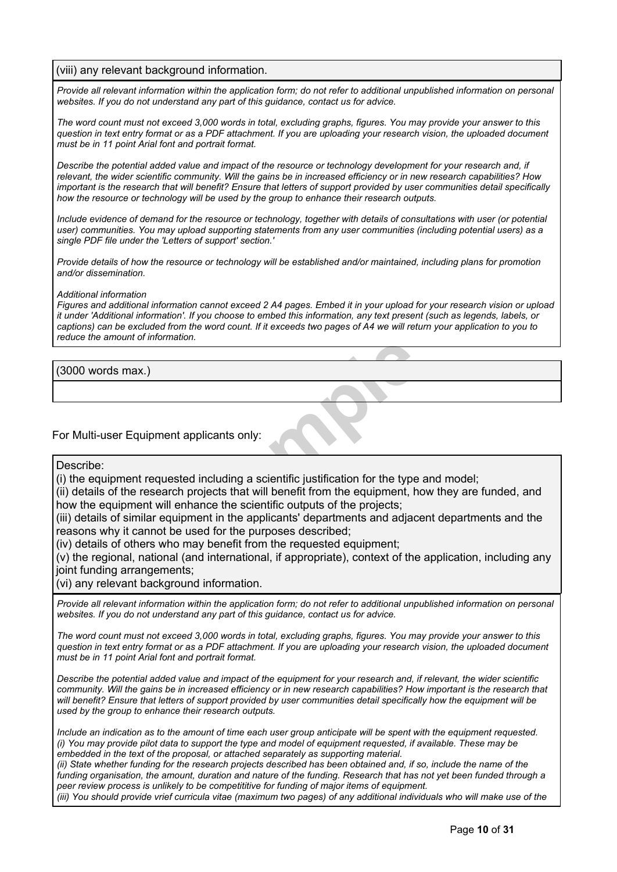# (viii) any relevant background information.

Provide all relevant information within the application form; do not refer to additional unpublished information on personal *websites. If you do not understand any part of this guidance, contact us for advice.*

The word count must not exceed 3.000 words in total, excluding graphs, figures. You may provide your answer to this question in text entry format or as a PDF attachment. If you are uploading your research vision, the uploaded document *must be in 11 point Arial font and portrait format.*

Describe the potential added value and impact of the resource or technology development for your research and, if relevant, the wider scientific community. Will the gains be in increased efficiency or in new research capabilities? How important is the research that will benefit? Ensure that letters of support provided by user communities detail specifically *how the resource or technology will be used by the group to enhance their research outputs.*

Include evidence of demand for the resource or technology, together with details of consultations with user (or potential user) communities. You may upload supporting statements from any user communities (including potential users) as a *single PDF file under the 'Letters of support' section.'*

Provide details of how the resource or technology will be established and/or maintained, including plans for promotion *and/or dissemination.*

#### *Additional information*

Figures and additional information cannot exceed 2 A4 pages. Embed it in your upload for your research vision or upload it under 'Additional information'. If you choose to embed this information, any text present (such as legends, labels, or captions) can be excluded from the word count. If it exceeds two pages of A4 we will return your application to you to *reduce the amount of information.*

(3000 words max.)

# For Multi-user Equipment applicants only:

#### Describe:

(i) the equipment requested including a scientific justification for the type and model;

(ii) details of the research projects that will benefit from the equipment, how they are funded, and how the equipment will enhance the scientific outputs of the projects;

and<br> **Sample Controllery**<br>
International and including a scientific justification for the type<br>
projects that will benefit from the equipment, he<br>
hance the scientific outputs of the projects;<br>
International and adjace<br>
an (iii) details of similar equipment in the applicants' departments and adjacent departments and the reasons why it cannot be used for the purposes described;

(iv) details of others who may benefit from the requested equipment;

(v) the regional, national (and international, if appropriate), context of the application, including any joint funding arrangements;

(vi) any relevant background information.

Provide all relevant information within the application form; do not refer to additional unpublished information on personal *websites. If you do not understand any part of this guidance, contact us for advice.*

The word count must not exceed 3,000 words in total, excluding graphs, figures. You may provide your answer to this question in text entry format or as a PDF attachment. If you are uploading your research vision, the uploaded document *must be in 11 point Arial font and portrait format.*

Describe the potential added value and impact of the equipment for your research and, if relevant, the wider scientific community. Will the gains be in increased efficiency or in new research capabilities? How important is the research that will benefit? Ensure that letters of support provided by user communities detail specifically how the equipment will be *used by the group to enhance their research outputs.*

Include an indication as to the amount of time each user group anticipate will be spent with the equipment requested. (i) You may provide pilot data to support the type and model of equipment requested, if available. These may be *embedded in the text of the proposal, or attached separately as supporting material.*

(ii) State whether funding for the research projects described has been obtained and, if so, include the name of the funding organisation, the amount, duration and nature of the funding. Research that has not yet been funded through a *peer review process is unlikely to be competititive for funding of major items of equipment.* (iii) You should provide vrief curricula vitae (maximum two pages) of any additional individuals who will make use of the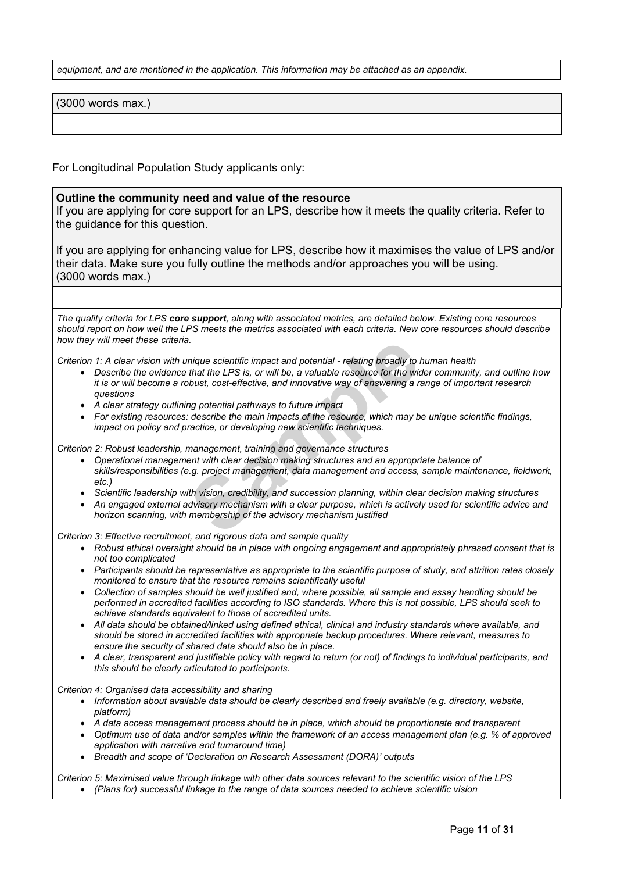*equipment, and are mentioned in the application. This information may be attached as an appendix.*

(3000 words max.)

For Longitudinal Population Study applicants only:

#### **Outline the community need and value of the resource**

If you are applying for core support for an LPS, describe how it meets the quality criteria. Refer to the guidance for this question.

If you are applying for enhancing value for LPS, describe how it maximises the value of LPS and/or their data. Make sure you fully outline the methods and/or approaches you will be using. (3000 words max.)

The quality criteria for LPS core support, along with associated metrics, are detailed below. Existing core resources should report on how well the LPS meets the metrics associated with each criteria. New core resources should describe *how they will meet these criteria.*

Criterion 1: A clear vision with unique scientific impact and potential - relating broadly to human health

- a.<br>
Inique scientific impact and potential relating broadly to that the LPS is, or will be, a valuable resource for the wid<br>
bbust, cost-effective, and innovative way of answering a rang potential pathways to future impa • Describe the evidence that the LPS is, or will be, a valuable resource for the wider community, and outline how it is or will become a robust, cost-effective, and innovative way of answering a range of important research *questions*
- *A clear strategy outlining potential pathways to future impact*
- *For existing resources: describe the main impacts of the resource, which may be unique scientific findings, impact on policy and practice, or developing new scientific techniques.*

*Criterion 2: Robust leadership, management, training and governance structures*

- *Operational management with clear decision making structures and an appropriate balance of skills/responsibilities (e.g. project management, data management and access, sample maintenance, fieldwork, etc.)*
- *Scientific leadership with vision, credibility, and succession planning, within clear decision making structures*
- An engaged external advisory mechanism with a clear purpose, which is actively used for scientific advice and *horizon scanning, with membership of the advisory mechanism justified*

*Criterion 3: Effective recruitment, and rigorous data and sample quality*

- *Robust ethical oversight should be in place with ongoing engagement and appropriately phrased consent that is not too complicated*
- Participants should be representative as appropriate to the scientific purpose of study, and attrition rates closely *monitored to ensure that the resource remains scientifically useful*
- Collection of samples should be well justified and, where possible, all sample and assay handling should be performed in accredited facilities according to ISO standards. Where this is not possible, LPS should seek to *achieve standards equivalent to those of accredited units.*
- *All data should be obtained/linked using defined ethical, clinical and industry standards where available, and should be stored in accredited facilities with appropriate backup procedures. Where relevant, measures to ensure the security of shared data should also be in place.*
- A clear, transparent and justifiable policy with regard to return (or not) of findings to individual participants, and *this should be clearly articulated to participants.*

*Criterion 4: Organised data accessibility and sharing*

- *Information about available data should be clearly described and freely available (e.g. directory, website, platform)*
	- *A data access management process should be in place, which should be proportionate and transparent*
- Optimum use of data and/or samples within the framework of an access management plan (e.g. % of approved *application with narrative and turnaround time)*
- *Breadth and scope of 'Declaration on Research Assessment (DORA)' outputs*

Criterion 5: Maximised value through linkage with other data sources relevant to the scientific vision of the LPS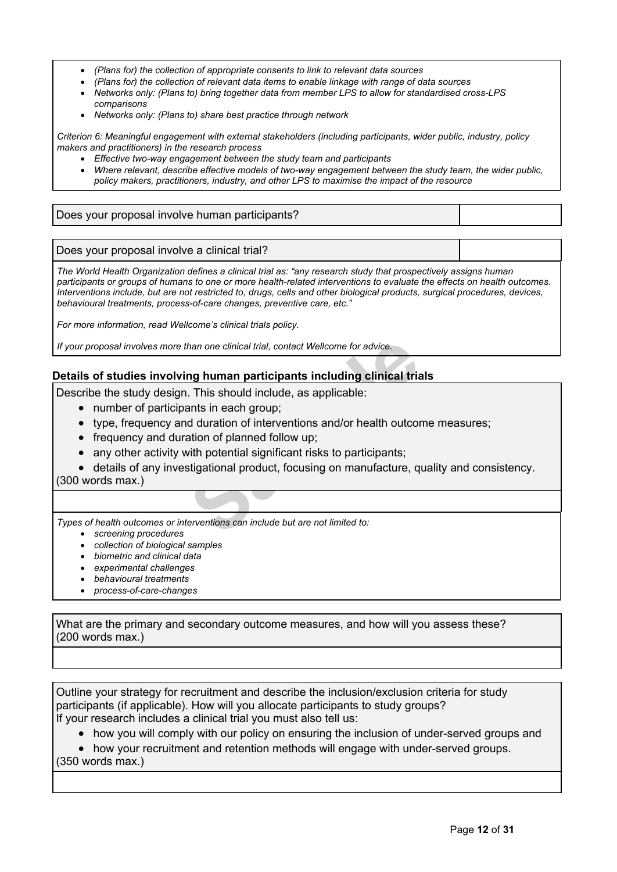- *(Plans for) the collection of appropriate consents to link to relevant data sources*
- *(Plans for) the collection of relevant data items to enable linkage with range of data sources*
- *Networks only: (Plans to) bring together data from member LPS to allow for standardised cross-LPS comparisons*
- *Networks only: (Plans to) share best practice through network*

*Criterion 6: Meaningful engagement with external stakeholders (including participants, wider public, industry, policy makers and practitioners) in the research process*

- *Effective two-way engagement between the study team and participants*
- *Where relevant, describe effective models of two-way engagement between the study team, the wider public, policy makers, practitioners, industry, and other LPS to maximise the impact of the resource*

# Does your proposal involve human participants?

Does your proposal involve a clinical trial?

*The World Health Organization defines a clinical trial as: "any research study that prospectively assigns human* participants or groups of humans to one or more health-related interventions to evaluate the effects on health outcomes. Interventions include, but are not restricted to, drugs, cells and other biological products, surgical procedures, devices, *behavioural treatments, process-of-care changes, preventive care, etc."*

*For more information, read Wellcome's [clinical](https://wellcome.org/funding/managing-grant/wellcome-trust-policy-position-clinical-trials) trials policy.*

*If your proposal involves more than one clinical trial, contact Wellcome for advice.*

# **Details of studies involving human participants including clinical trials**

Describe the study design. This should include, as applicable:

- number of participants in each group;
- type, frequency and duration of interventions and/or health outcome measures;
- frequency and duration of planned follow up;
- any other activity with potential significant risks to participants;
- han one clinical trial, contact Wellcome for advice.<br> **Sample 11 Handman participants including clinical trial**<br> **Sample 11 Handman participants including clinical trial**<br>
This should include, as applicable:<br>
Sample 11 Han details of any investigational product, focusing on manufacture, quality and consistency. (300 words max.)

*Types of health outcomes or interventions can include but are not limited to:*

- *screening procedures*
- *collection of biological samples*
- *biometric and clinical data*
- *experimental challenges*
- *behavioural treatments*
- *process-of-care-changes*

What are the primary and secondary outcome measures, and how will you assess these? (200 words max.)

Outline your strategy for recruitment and describe the inclusion/exclusion criteria for study participants (if applicable). How will you allocate participants to study groups? If your research includes a [clinical](https://wellcome.org/grant-funding/guidance/clinical-trials-policy) trial you must also tell us:

• how you will comply with our policy on ensuring the inclusion of under-served groups and

• how your recruitment and retention methods will engage with under-served groups. (350 words max.)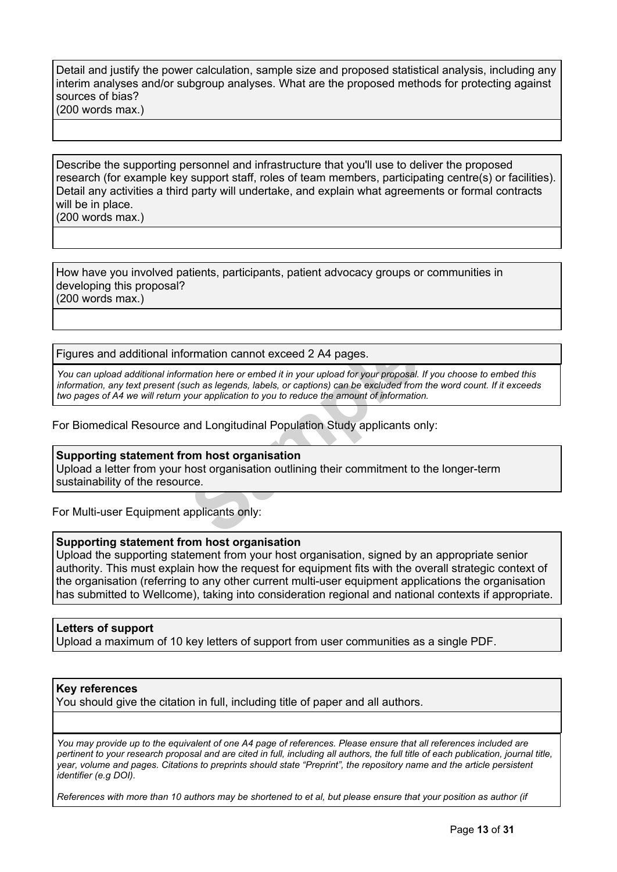### Detail and justify the power calculation, sample size and proposed statistical analysis, including any interim analyses and/or subgroup analyses. What are the proposed methods for protecting against sources of bias? (200 words max.)

Describe the supporting personnel and infrastructure that you'll use to deliver the proposed research (for example key support staff, roles of team members, participating centre(s) or facilities). Detail any activities a third party will undertake, and explain what agreements or formal contracts will be in place.

(200 words max.)

How have you involved patients, participants, patient advocacy groups or communities in developing this proposal? (200 words max.)

Figures and additional information cannot exceed 2 A4 pages.

primation cannot exceed 2 A4 pages.<br>
mation here or embed it in your upload for your proposal.<br>
uch as legends, labels, or captions) can be excluded from<br>
our application to you to reduce the amount of information<br>
and Lon You can upload additional information here or embed it in your upload for your proposal. If you choose to embed this information, any text present (such as legends, labels, or captions) can be excluded from the word count. If it exceeds *two pages of A4 we will return your application to you to reduce the amount of information.*

For Biomedical Resource and Longitudinal Population Study applicants only:

### **Supporting statement from host organisation**

Upload a letter from your host organisation outlining their commitment to the longer-term sustainability of the resource.

For Multi-user Equipment applicants only:

# **Supporting statement from host organisation**

Upload the supporting statement from your host organisation, signed by an appropriate senior authority. This must explain how the request for equipment fits with the overall strategic context of the organisation (referring to any other current multi-user equipment applications the organisation has submitted to Wellcome), taking into consideration regional and national contexts if appropriate.

# **Letters of support**

Upload a maximum of 10 key letters of support from user communities as a single PDF.

### **Key references**

You should give the citation in full, including title of paper and all authors.

You may provide up to the equivalent of one A4 page of references. Please ensure that all references included are pertinent to your research proposal and are cited in full, including all authors, the full title of each publication, journal title, year, volume and pages. Citations to preprints should state "Preprint", the repository name and the article persistent *identifier (e.g DOI).*

References with more than 10 authors may be shortened to et al, but please ensure that your position as author (if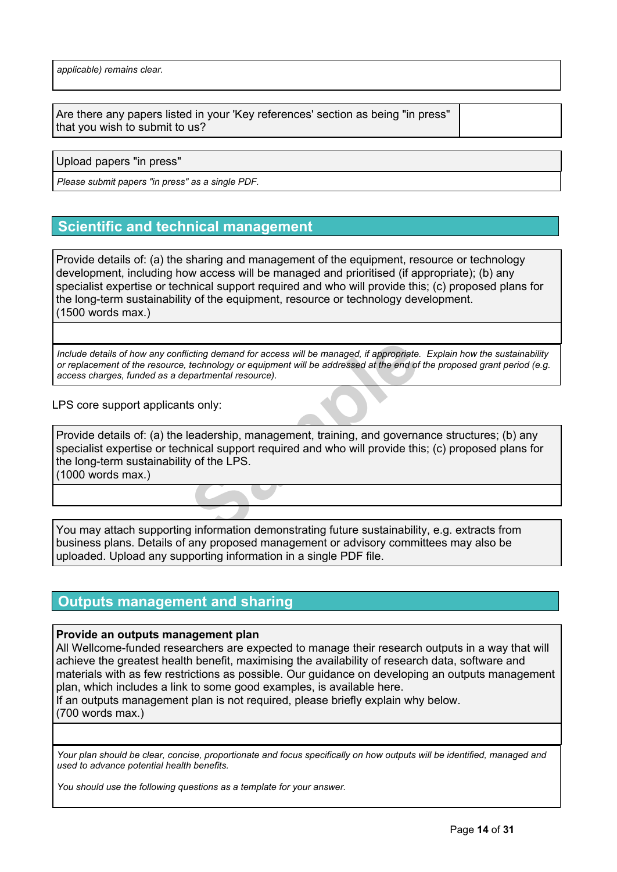Are there any papers listed in your 'Key references' section as being "in press" that you wish to submit to us?

Upload papers "in press"

*Please submit papers "in press" as a single PDF.*

# **Scientific and technical management**

Provide details of: (a) the sharing and management of the equipment, resource or technology development, including how access will be managed and prioritised (if appropriate); (b) any specialist expertise or technical support required and who will provide this; (c) proposed plans for the long-term sustainability of the equipment, resource or technology development. (1500 words max.)

Include details of how any conflicting demand for access will be managed, if appropriate. Explain how the sustainability or replacement of the resource, technology or equipment will be addressed at the end of the proposed grant period (e.g. *access charges, funded as a departmental resource).*

LPS core support applicants only:

icting demand for access will be managed, if appropriate.<br>
technology or equipment will be addressed at the end of<br>
partmental resource).<br>
Its only:<br> **Sample Example 1:**<br>
Its only:<br> **Sample Example 1:**<br> **Sample 1:**<br> **Sampl** Provide details of: (a) the leadership, management, training, and governance structures; (b) any specialist expertise or technical support required and who will provide this; (c) proposed plans for the long-term sustainability of the LPS. (1000 words max.)

You may attach supporting information demonstrating future sustainability, e.g. extracts from business plans. Details of any proposed management or advisory committees may also be uploaded. Upload any supporting information in a single PDF file.

# **Outputs management and sharing**

### **Provide an outputs management plan**

All Wellcome-funded researchers are expected to manage their research outputs in a way that will achieve the greatest health benefit, maximising the availability of research data, software and materials with as few restrictions as possible. Our guidance on developing an outputs management plan, which includes a link to some good examples, is available [here.](https://wellcome.org/grant-funding/guidance/how-complete-outputs-management-plan)

If an outputs management plan is not required, please briefly explain why below. (700 words max.)

Your plan should be clear, concise, proportionate and focus specifically on how outputs will be identified, managed and *used to advance potential health benefits.*

*You should use the following questions as a template for your answer.*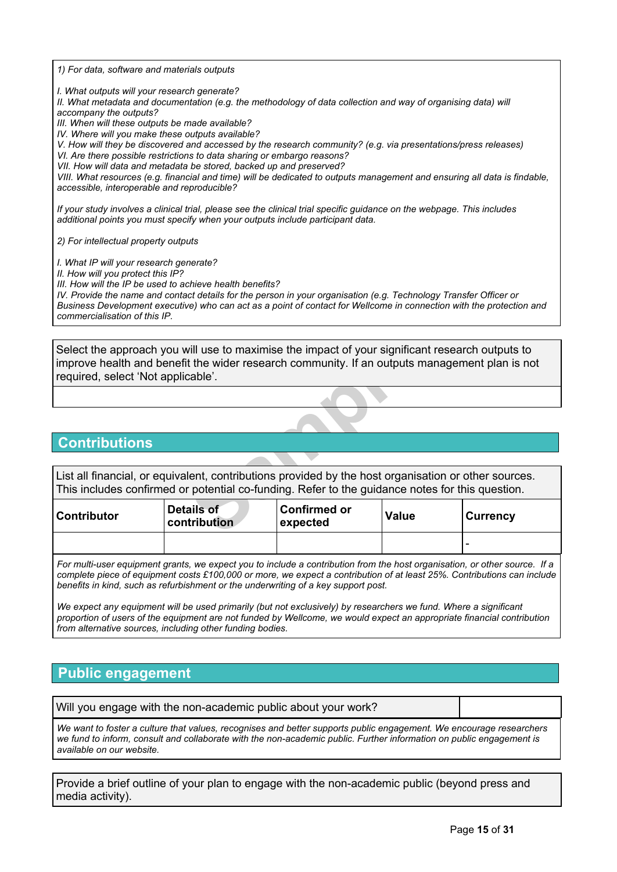*1) For data, software and materials outputs*

*I. What outputs will your research generate?*

II. What metadata and documentation (e.g. the methodology of data collection and way of organising data) will *accompany the outputs?*

*III. When will these outputs be made available?*

*IV. Where will you make these outputs available?*

*V. How will they be discovered and accessed by the research community? (e.g. via presentations/press releases)*

*VI. Are there possible restrictions to data sharing or embargo reasons?*

*VII. How will data and metadata be stored, backed up and preserved?*

VIII. What resources (e.g. financial and time) will be dedicated to outputs management and ensuring all data is findable. *accessible, interoperable and reproducible?*

If your study involves a clinical trial, please see the clinical trial specific quidance on the webpage. This includes *additional points you must specify when your outputs include participant data.*

*2) For intellectual property outputs*

*I. What IP will your research generate?*

*II. How will you protect this IP?*

*III. How will the IP be used to achieve health benefits?*

IV. Provide the name and contact details for the person in your organisation (e.g. Technology Transfer Officer or Business Development executive) who can act as a point of contact for Wellcome in connection with the protection and *commercialisation of this IP.*

Vill use to maximise the impact of your significat<br>
t the wider research community. If an outputs r<br>
Cable<sup>2</sup>.<br>
Net cable<sup>2</sup>.<br>
Samples in the strong of potential co-funding. Refer to the guidance no<br>
value<br>
Net calls of **C** Select the approach you will use to maximise the impact of your significant research outputs to improve health and benefit the wider research community. If an outputs management plan is not required, select 'Not applicable'.

# **Contributions**

List all financial, or equivalent, contributions provided by the host organisation or other sources. This includes confirmed or potential co-funding. Refer to the guidance notes for this question.

| Contributor | Details of<br><b>contribution</b> | ∣Confirmed or<br>∣expected | <b>Value</b> | <b>Currency</b> |
|-------------|-----------------------------------|----------------------------|--------------|-----------------|
|             |                                   |                            |              |                 |

For multi-user equipment grants, we expect you to include a contribution from the host organisation, or other source. If a complete piece of equipment costs £100,000 or more, we expect a contribution of at least 25%. Contributions can include *benefits in kind, such as refurbishment or the underwriting of a key support post.*

We expect any equipment will be used primarily (but not exclusively) by researchers we fund. Where a significant proportion of users of the equipment are not funded by Wellcome, we would expect an appropriate financial contribution *from alternative sources, including other funding bodies.*

# **Public engagement**

Will you engage with the non-academic public about your work?

We want to foster a culture that values, recognises and better supports public engagement. We encourage researchers we fund to inform, consult and collaborate with the non-academic public. Further information on public engagement is *available on our [website](https://wellcome.org/what-we-do/our-work/public-engagement-support-researchers).*

Provide a brief outline of your plan to engage with the non-academic public (beyond press and media activity).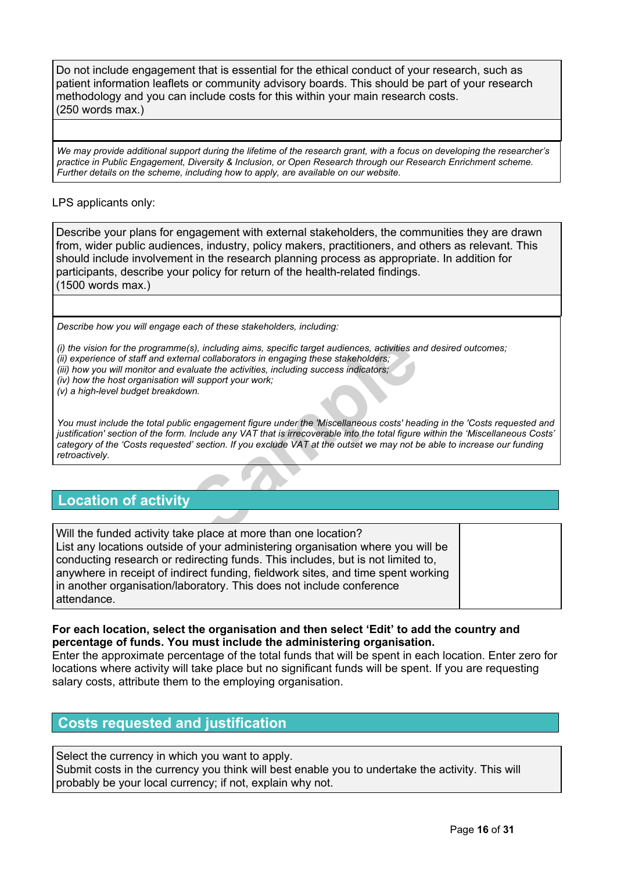Do not include engagement that is essential for the ethical conduct of your research, such as patient information leaflets or community advisory boards. This should be part of your research methodology and you can include costs for this within your main research costs. (250 words max.)

We may provide additional support during the lifetime of the research grant, with a focus on developing the researcher's *practice in Public Engagement, Diversity & Inclusion, or Open Research through our Research Enrichment scheme. Further details on the scheme, including how to apply, are available on our website.*

# LPS applicants only:

Describe your plans for engagement with external stakeholders, the communities they are drawn from, wider public audiences, industry, policy makers, practitioners, and others as relevant. This should include involvement in the research planning process as appropriate. In addition for participants, describe your policy for return of the health-related findings. (1500 words max.)

*Describe how you will engage each of these stakeholders, including:*

(s), including aims, specific target audiences, activities are all collaborators in engaging these stakeholders;<br>
aluate the activities, including success indicators;<br>
fill support your work;<br>
wn.<br>
c engagement figure unde *(i) the vision for the programme(s), including aims, specific target audiences, activities and desired outcomes; (ii) experience of staff and external collaborators in engaging these stakeholders; (iii) how you will monitor and evaluate the activities, including success indicators; (iv) how the host organisation will support your work;*

*(v) a high-level budget breakdown.*

You must include the total public engagement figure under the 'Miscellaneous costs' heading in the 'Costs requested and justification' section of the form. Include any VAT that is irrecoverable into the total figure within the 'Miscellaneous Costs' category of the 'Costs requested' section. If you exclude VAT at the outset we may not be able to increase our funding *retroactively.*

# **Location of activity**

Will the funded activity take place at more than one location? List any locations outside of your administering organisation where you will be conducting research or redirecting funds. This includes, but is not limited to, anywhere in receipt of indirect funding, fieldwork sites, and time spent working in another organisation/laboratory. This does not include conference attendance.

# **For each location, select the organisation and then select 'Edit' to add the country and percentage of funds. You must include the administering organisation.**

Enter the approximate percentage of the total funds that will be spent in each location. Enter zero for locations where activity will take place but no significant funds will be spent. If you are requesting salary costs, attribute them to the employing organisation.

# **Costs requested and justification**

Select the currency in which you want to apply. Submit costs in the currency you think will best enable you to undertake the activity. This will probably be your local currency; if not, explain why not.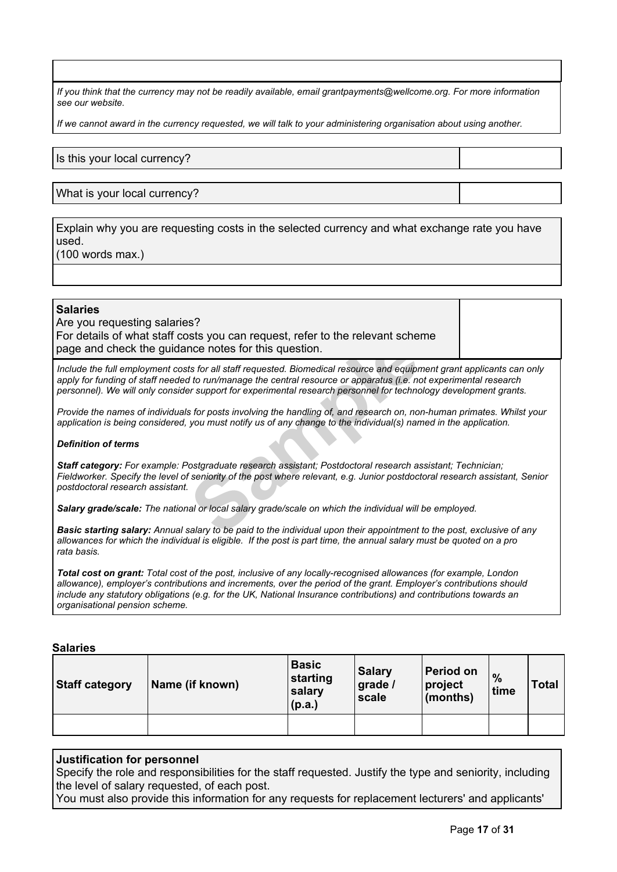If you think that the currency may not be readily available, email grantpayments@wellcome.org. For more information *see our [website.](http://www.wellcome.org/funding/guidance/currency-issues)*

If we cannot award in the currency requested, we will talk to your administering organisation about using another.

Is this your local currency?

What is your local currency?

Explain why you are requesting costs in the selected currency and what exchange rate you have used.

(100 words max.)

### **Salaries**

Are you requesting salaries? For details of what staff costs you can request, refer to the relevant scheme page and check the guidance notes for this question.

Include the full employment costs for all staff requested. Biomedical resource and equipment grant applicants can only apply for funding of staff needed to run/manage the central resource or apparatus (i.e. not experimental research *personnel). We will only consider support for experimental research personnel for technology development grants.*

Provide the names of individuals for posts involving the handling of, and research on, non-human primates. Whilst your application is being considered, you must notify us of any change to the individual(s) named in the application.

#### *Definition of terms*

From the starf of this question.<br>
Ince notes for this question.<br>
Its for all staff requested. Biomedical resource and equipm<br>
It to run/manage the central resource or apparatus (i.e. no<br>
It is also report for experimental *Staff category: For example: Postgraduate research assistant; Postdoctoral research assistant; Technician;* Fieldworker. Specify the level of seniority of the post where relevant, e.g. Junior postdoctoral research assistant, Senior *postdoctoral research assistant.*

*Salary grade/scale: The national or local salary grade/scale on which the individual will be employed.*

Basic starting salary: Annual salary to be paid to the individual upon their appointment to the post, exclusive of any allowances for which the individual is eligible. If the post is part time, the annual salary must be quoted on a pro *rata basis.*

Total cost on grant: Total cost of the post, inclusive of any locally-recognised allowances (for example, London *allowance), employer's contributions and increments, over the period of the grant. Employer's contributions should include any statutory obligations (e.g. for the UK, National Insurance contributions) and contributions towards an organisational pension scheme.*

#### **Salaries**

| Staff category | Name (if known) | <b>Basic</b><br>starting<br>salary<br>(p.a.) | <b>Salary</b><br>grade /<br>scale | Period on<br>project<br>$ $ (months) | $\frac{0}{0}$<br>time | <b>Total</b> |
|----------------|-----------------|----------------------------------------------|-----------------------------------|--------------------------------------|-----------------------|--------------|
|                |                 |                                              |                                   |                                      |                       |              |

### **Justification for personnel**

Specify the role and responsibilities for the staff requested. Justify the type and seniority, including the level of salary requested, of each post.

You must also provide this information for any requests for replacement lecturers' and applicants'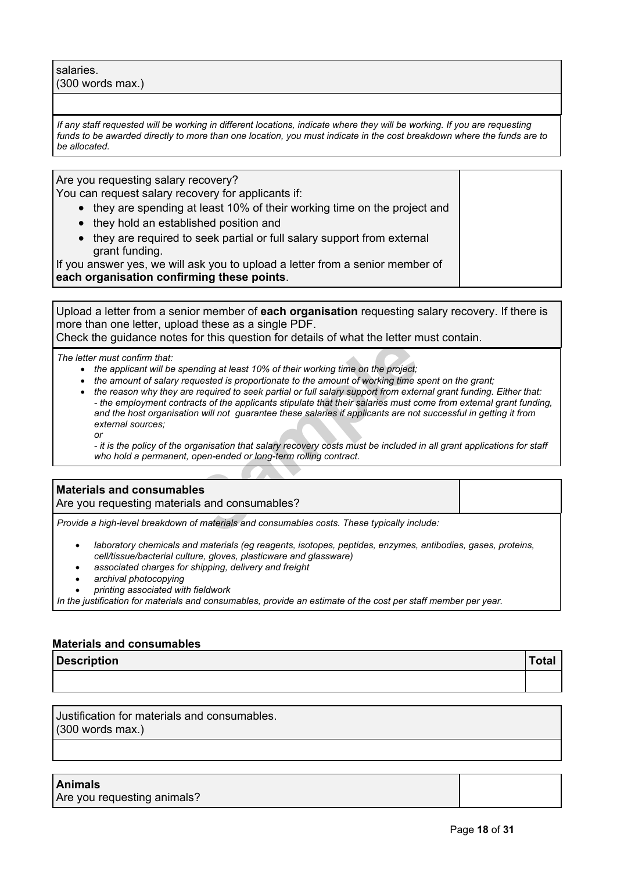salaries. (300 words max.)

If any staff requested will be working in different locations, indicate where they will be working. If you are requesting funds to be awarded directly to more than one location, you must indicate in the cost breakdown where the funds are to *be allocated.*

Are you requesting salary recovery?

You can request salary recovery for applicants if:

- they are spending at least 10% of their working time on the project and
- they hold an established position and
- they are required to seek partial or full salary support from external grant funding.

If you answer yes, we will ask you to upload a letter from a senior member of **each organisation confirming these points**.

Upload a letter from a senior member of **each organisation** requesting salary recovery. If there is more than one letter, upload these as a single PDF. Check the guidance notes for this question for details of what the letter must contain.

*The letter must confirm that:*

- *the applicant will be spending at least 10% of their working time on the project;*
- *the amount of salary requested is proportionate to the amount of working time spent on the grant;*
- For this question for details of what the letter if<br>the project;<br>requested is proportionate to the amount of working time is<br>re-required to seek partial or full salary support from exter-<br>racts of the applicants stipulate • the reason why they are required to seek partial or full salary support from external grant funding. Either that: - the employment contracts of the applicants stipulate that their salaries must come from external grant funding, and the host organisation will not guarantee these salaries if applicants are not successful in getting it from *external sources; or*

- it is the policy of the organisation that salary recovery costs must be included in all grant applications for staff *who hold a permanent, open-ended or long-term rolling contract.*

### **Materials and consumables**

Are you requesting materials and consumables?

*Provide a high-level breakdown of materials and consumables costs. These typically include:*

- *laboratory chemicals and materials (eg reagents, isotopes, peptides, enzymes, antibodies, gases, proteins, cell/tissue/bacterial culture, gloves, plasticware and glassware)*
- *associated charges for shipping, delivery and freight*
- *archival photocopying*
- *printing associated with fieldwork*

In the justification for materials and consumables, provide an estimate of the cost per staff member per year.

### **Materials and consumables**

**Description Total**

Justification for materials and consumables. (300 words max.)

**Animals** Are you requesting animals?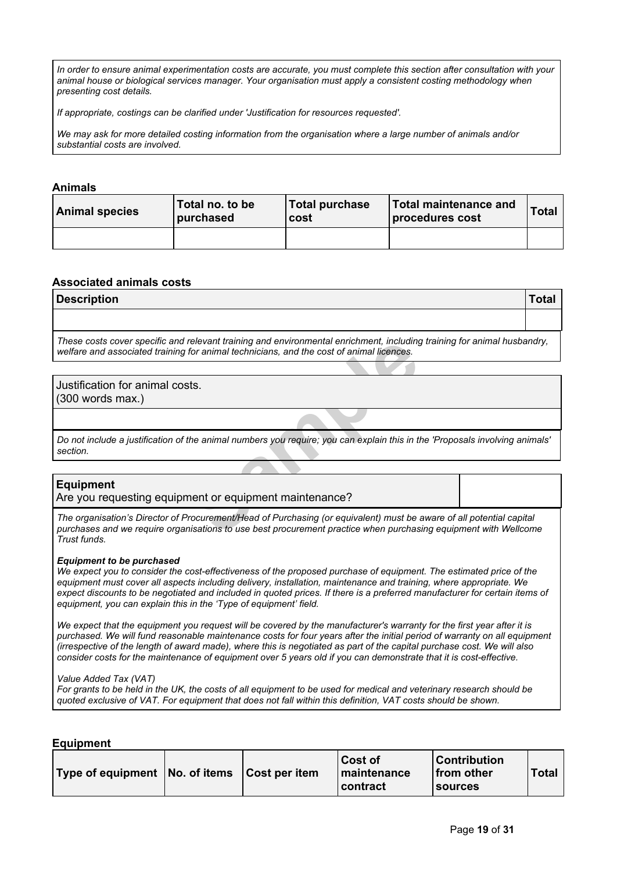In order to ensure animal experimentation costs are accurate, you must complete this section after consultation with your *animal house or biological services manager. Your organisation must apply a consistent costing methodology when presenting cost details.*

*If appropriate, costings can be clarified under 'Justification for resources requested'.*

We may ask for more detailed costing information from the organisation where a large number of animals and/or *substantial costs are involved.*

### **Animals**

| <b>Animal species</b> | Total no. to be<br>∣ purchased | <b>Total purchase</b><br>cost | Total maintenance and<br>procedures cost | Total |
|-----------------------|--------------------------------|-------------------------------|------------------------------------------|-------|
|                       |                                |                               |                                          |       |

### **Associated animals costs**

| Description |  |
|-------------|--|
|             |  |
|             |  |

*These costs cover specific and relevant training and environmental enrichment, including training for animal husbandry, welfare and associated training for animal technicians, and the cost of animal licences.*

# Justification for animal costs.

(300 words max.)

Do not include a justification of the animal numbers you require; you can explain this in the 'Proposals involving animals' *section.*

### **Equipment**

Are you requesting equipment or equipment maintenance?

relevant training and environmental enrichment, including<br>for animal technicians, and the cost of animal licences.<br>Sts.<br>Sts.<br>The animal numbers you require; you can explain this in the<br>ment or equipment maintenance?<br>Trocur The organisation's Director of Procurement/Head of Purchasing (or equivalent) must be aware of all potential capital *purchases and we require organisations to use best procurement practice when purchasing equipment with Wellcome Trust funds.*

#### *Equipment to be purchased*

We expect you to consider the cost-effectiveness of the proposed purchase of equipment. The estimated price of the *equipment must cover all aspects including delivery, installation, maintenance and training, where appropriate. We* expect discounts to be negotiated and included in quoted prices. If there is a preferred manufacturer for certain items of *equipment, you can explain this in the 'Type of equipment' field.*

We expect that the equipment you request will be covered by the manufacturer's warranty for the first year after it is purchased. We will fund reasonable maintenance costs for four years after the initial period of warranty on all equipment (irrespective of the length of award made), where this is negotiated as part of the capital purchase cost. We will also consider costs for the maintenance of equipment over 5 years old if you can demonstrate that it is cost-effective.

#### *Value Added Tax (VAT)*

For grants to be held in the UK, the costs of all equipment to be used for medical and veterinary research should be quoted exclusive of VAT. For equipment that does not fall within this definition, VAT costs should be shown.

|  | Equipment |
|--|-----------|
|  |           |
|  |           |

| Type of equipment   No. of items   Cost per item |  | ⊥Cost of<br><b>Imaintenance</b><br>l contract | <b>Contribution</b><br>⊺from other<br><b>Sources</b> | Total |
|--------------------------------------------------|--|-----------------------------------------------|------------------------------------------------------|-------|
|--------------------------------------------------|--|-----------------------------------------------|------------------------------------------------------|-------|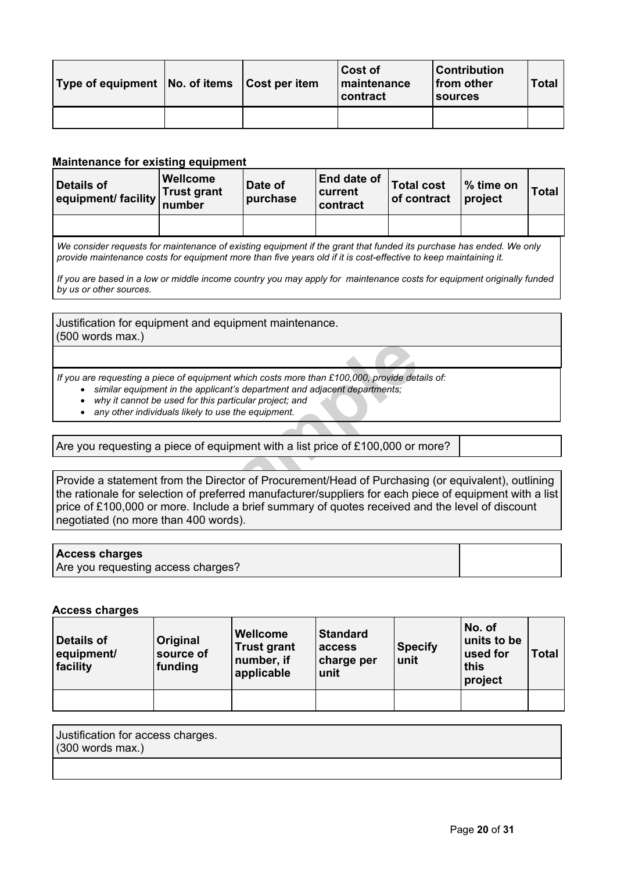| Type of equipment   No. of items   Cost per item |  | <b>Cost of</b><br>maintenance<br>contract | <b>Contribution</b><br>from other<br><b>Sources</b> | Total |
|--------------------------------------------------|--|-------------------------------------------|-----------------------------------------------------|-------|
|                                                  |  |                                           |                                                     |       |

### **Maintenance for existing equipment**

| Details of<br>equipment/ facility number | <b>Wellcome</b><br><b>Trust grant</b> | Date of<br>purchase | End date of<br>current<br>contract | Total cost<br>of contract | ∣% time on<br>project | <b>Total</b> |
|------------------------------------------|---------------------------------------|---------------------|------------------------------------|---------------------------|-----------------------|--------------|
|                                          |                                       |                     |                                    |                           |                       |              |
|                                          |                                       |                     |                                    |                           |                       |              |

We consider requests for maintenance of existing equipment if the grant that funded its purchase has ended. We only provide maintenance costs for equipment more than five years old if it is cost-effective to keep maintaining it.

If you are based in a low or middle income country you may apply for maintenance costs for equipment originally funded *by us or other sources.*

Justification for equipment and equipment maintenance. (500 words max.)

*If you are requesting a piece of equipment which costs more than £100,000, provide details of:*

- *similar equipment in the applicant's department and adjacent departments;*
- *why it cannot be used for this particular project; and*
- *any other individuals likely to use the equipment.*

Are you requesting a piece of equipment with a list price of £100,000 or more?

equipment which costs more than £100,000, provide determined applicant's department and adjacent departments;<br>for this particular project; and<br>kely to use the equipment.<br>Proposition of equipment with a list price of £100,0 Provide a statement from the Director of Procurement/Head of Purchasing (or equivalent), outlining the rationale for selection of preferred manufacturer/suppliers for each piece of equipment with a list price of £100,000 or more. Include a brief summary of quotes received and the level of discount negotiated (no more than 400 words).

#### **Access charges**

Are you requesting access charges?

#### **Access charges**

| Details of<br>equipment/<br>facility | <b>Original</b><br>source of<br>funding | Wellcome<br><b>Trust grant</b><br>number, if<br>applicable | <b>Standard</b><br>access<br>charge per<br>unit | <b>Specify</b><br>unit | No. of<br>units to be<br>used for<br>this<br>project | Total |
|--------------------------------------|-----------------------------------------|------------------------------------------------------------|-------------------------------------------------|------------------------|------------------------------------------------------|-------|
|                                      |                                         |                                                            |                                                 |                        |                                                      |       |

| Justification for access charges. |  |
|-----------------------------------|--|
| $(300$ words max.)                |  |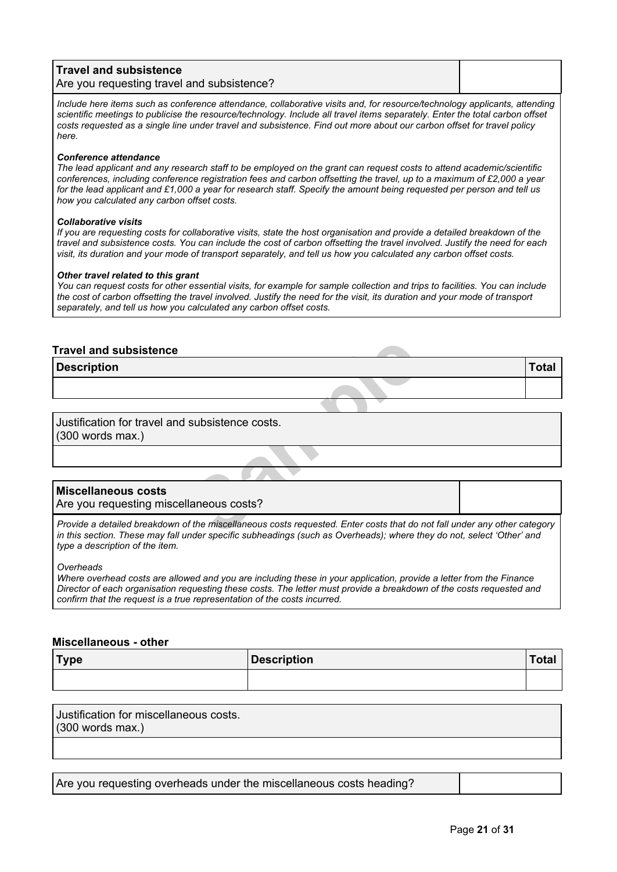| Travel and subsistence<br>Are you requesting travel and subsistence?                                                      |  |
|---------------------------------------------------------------------------------------------------------------------------|--|
| Include here items such as conference attendance, collaborative visits and, for resource/technology applicants, attending |  |

scientific meetings to publicise the resource/technology. Include all travel items separately. Enter the total carbon offset costs requested as a single line under travel and subsistence. Find out more about our carbon offset for travel policy *[here.](https://wellcome.org/funding/carbon-offset-policy-travel)*

#### *Conference attendance*

The lead applicant and any research staff to be employed on the grant can request costs to attend academic/scientific conferences, including conference registration fees and carbon offsetting the travel, up to a maximum of £2,000 a year for the lead applicant and £1,000 a year for research staff. Specify the amount being requested per person and tell us *how you calculated any carbon offset costs.*

#### *Collaborative visits*

If you are requesting costs for collaborative visits, state the host organisation and provide a detailed breakdown of the travel and subsistence costs. You can include the cost of carbon offsetting the travel involved. Justify the need for each visit, its duration and your mode of transport separately, and tell us how you calculated any carbon offset costs.

#### *Other travel related to this grant*

You can request costs for other essential visits, for example for sample collection and trips to facilities. You can include the cost of carbon offsetting the travel involved. Justify the need for the visit, its duration and your mode of transport *separately, and tell us how you calculated any carbon offset costs.*

### **Travel and subsistence**

**Description Total**

Justification for travel and subsistence costs. (300 words max.)

### **Miscellaneous costs**

Are you requesting miscellaneous costs?

**Subsistence costs.**<br> **Samples**<br> **Samples**<br> **Samples**<br> **Samples**<br> **Samples**<br> **Samples**<br> **Samples**<br> **Samples**<br> **Samples**<br> **Samples**<br> **Samples**<br> **Samples**<br> **Samples**<br> **Samples**<br> **Samples**<br> **Samples**<br> **Samples**<br> **Samples**<br> **W** Provide a detailed breakdown of the miscellaneous costs requested. Enter costs that do not fall under any other category in this section. These may fall under specific subheadings (such as Overheads); where they do not, select 'Other' and *type a description of the item.*

*Overheads*

Where overhead costs are allowed and you are including these in your application, provide a letter from the Finance Director of each organisation requesting these costs. The letter must provide a breakdown of the costs requested and *confirm that the request is a true representation of the costs incurred.*

#### **Miscellaneous - other**

| Type | <b>Description</b> |  |
|------|--------------------|--|
|      |                    |  |

Justification for miscellaneous costs. (300 words max.)

Are you requesting overheads under the miscellaneous costs heading?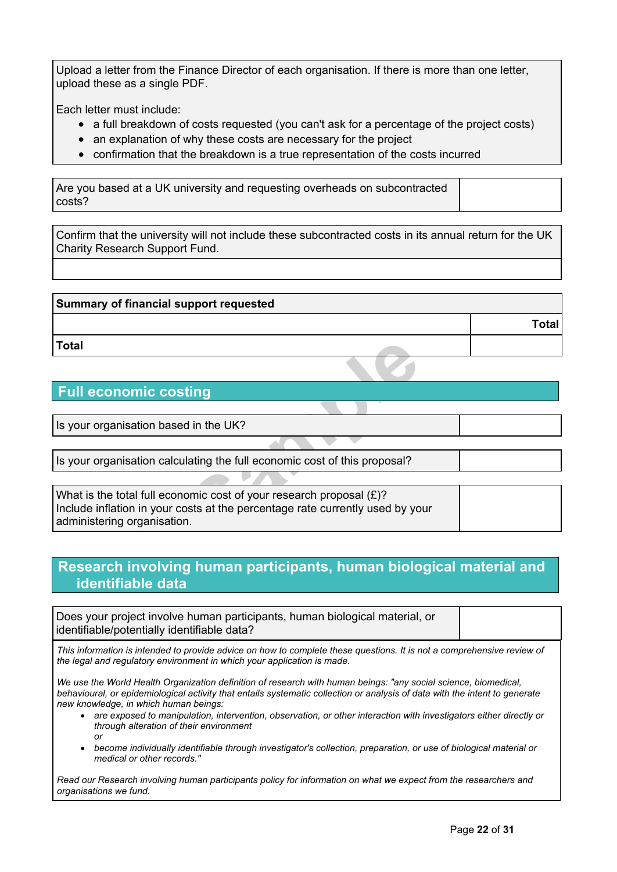Upload a letter from the Finance Director of each organisation. If there is more than one letter, upload these as a single PDF.

Each letter must include:

- a full breakdown of costs requested (you can't ask for a percentage of the project costs)
- an explanation of why these costs are necessary for the project
- confirmation that the breakdown is a true representation of the costs incurred

Are you based at a UK university and requesting overheads on subcontracted costs?

Confirm that the university will not include these subcontracted costs in its annual return for the UK Charity Research Support Fund.

| Summary of financial support requested |              |
|----------------------------------------|--------------|
|                                        | <b>Total</b> |
| ∣Total                                 |              |

# **Full economic costing**

Is your organisation based in the UK?

Is your organisation calculating the full economic cost of this proposal?

**Solution**<br> **Solution**<br> **Solution**<br> **Solution**<br> **Solution**<br> **Solution**<br> **Solution**<br> **Solution**<br> **Solution**<br> **Solution**<br> **Solution**<br> **Solution**<br> **Solution**<br> **Solution**<br> **Solution**<br> **Solution**<br> **Solution**<br> **Solution**<br> **Solut** What is the total full economic cost of your research proposal (£)? Include inflation in your costs at the percentage rate currently used by your administering organisation.

# **Research involving human participants, human biological material and identifiable data**

Does your project involve human participants, human biological material, or identifiable/potentially identifiable data?

This information is intended to provide advice on how to complete these questions. It is not a comprehensive review of *the legal and regulatory environment in which your application is made.*

*We use the World Health Organization definition of research with human beings: "any social science, biomedical,* behavioural, or epidemiological activity that entails systematic collection or analysis of data with the intent to generate *new knowledge, in which human beings:*

- *are exposed to manipulation, intervention, observation, or other interaction with investigators either directly or through alteration of their environment or*
- *become individually identifiable through investigator's collection, preparation, or use of biological material or medical or other records."*

Read our Research involving human [participants](https://wellcome.org/grant-funding/guidance/research-involving-human-participants-policy) policy for information on what we expect from the researchers and *organisations we fund.*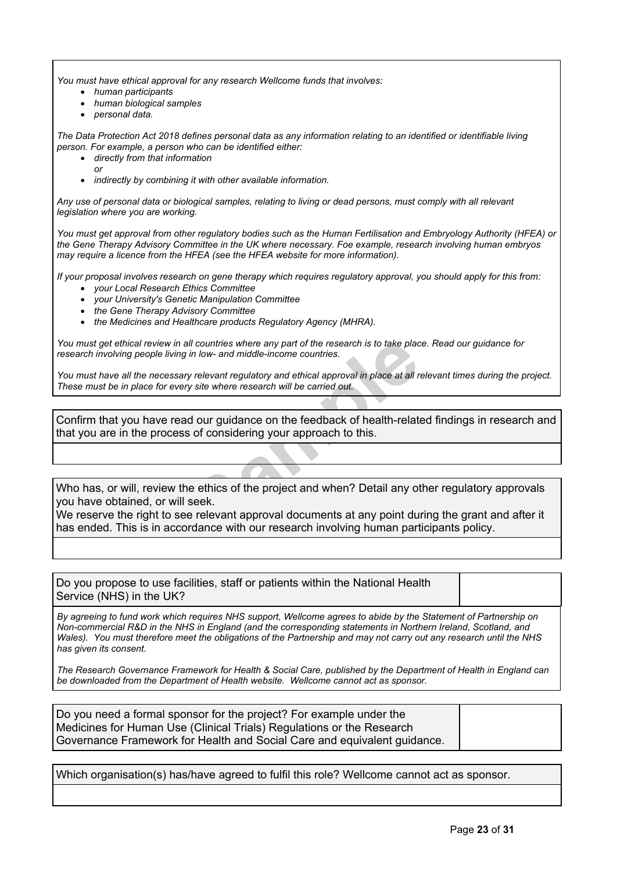*You must have ethical approval for any research Wellcome funds that involves:*

- *human participants*
- *human biological samples*
- *personal data.*

The Data Protection Act 2018 defines personal data as any information relating to an identified or identifiable living *person. For example, a person who can be identified either:*

- *directly from that information*
	- *or*
- *indirectly by combining it with other available information.*

Any use of personal data or biological samples, relating to living or dead persons, must comply with all relevant *legislation where you are working.*

You must get approval from other regulatory bodies such as the Human Fertilisation and Embryology Authority (HFEA) or *the Gene Therapy Advisory Committee in the UK where necessary. Foe example, research involving human embryos may require a licence from the HFEA (see the HFEA [website](http://www.hfea.gov.uk/) for more information).*

If your proposal involves research on gene therapy which requires regulatory approval, you should apply for this from: *your Local Research Ethics Committee*

- *your University's Genetic Manipulation Committee*
- *the Gene Therapy Advisory Committee*
- *the Medicines and Healthcare products Regulatory Agency (MHRA).*

You must get ethical review in all countries where any part of the research is to take place. Read our [guidance](https://wellcome.org/grant-funding/guidance/research-involving-people-low-and-middle-income-countries) for *research involving people living in low- and middle-income countries.*

You must have all the necessary relevant requlatory and ethical approval in place at all relevant times during the project. *These must be in place for every site where research will be carried out.*

Confirm that you have read our guidance on the feedback of health-related findings in research and that you are in the process of considering your approach to this.

Who has, or will, review the ethics of the project and when? Detail any other regulatory approvals you have obtained, or will seek.

Ill countries where any part of the research is to take place in low- and middle-income countries.<br>
Y relevant regulatory and ethical approval in place at all represent regulatory and ethical approval in place at all repre We reserve the right to see relevant approval documents at any point during the grant and after it has ended. This is in accordance with our research involving human participants policy.

Do you propose to use facilities, staff or patients within the National Health Service (NHS) in the UK?

By agreeing to fund work which requires NHS support, Wellcome agrees to abide by the Statement of Partnership on *Non-commercial R&D in the NHS in England (and the corresponding statements in Northern Ireland, Scotland, and* Wales). You must therefore meet the obligations of the Partnership and may not carry out any research until the NHS *has given its consent.*

The Research Governance Framework for Health & Social Care, published by the Department of Health in England can *be downloaded from the [Department](http://www.dh.gov.uk/health/category/research) of Health website. Wellcome cannot act as sponsor.*

Do you need a formal sponsor for the project? For example under the Medicines for Human Use (Clinical Trials) Regulations or the Research Governance Framework for Health and Social Care and equivalent guidance.

Which organisation(s) has/have agreed to fulfil this role? Wellcome cannot act as sponsor.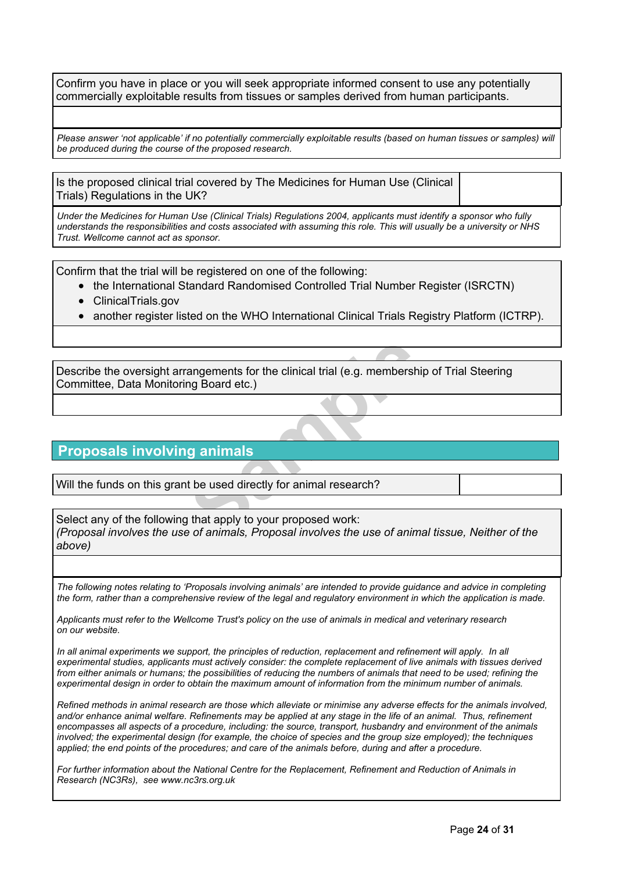Confirm you have in place or you will seek appropriate informed consent to use any potentially commercially exploitable results from tissues or samples derived from human participants.

Please answer 'not applicable' if no potentially commercially exploitable results (based on human tissues or samples) will *be produced during the course of the proposed research.*

Is the proposed clinical trial covered by The Medicines for Human Use (Clinical Trials) Regulations in the UK?

Under the Medicines for Human Use (Clinical Trials) Regulations 2004, applicants must identify a sponsor who fully understands the responsibilities and costs associated with assuming this role. This will usually be a university or NHS *Trust. Wellcome cannot act as sponsor.*

Confirm that the trial will be registered on one of the following:

- the International Standard Randomised Controlled Trial Number Register (ISRCTN)
- ClinicalTrials.gov
- another register listed on the WHO International Clinical Trials Registry Platform (ICTRP).

**Sample**Describe the oversight arrangements for the clinical trial (e.g. membership of Trial Steering Committee, Data Monitoring Board etc.)

# **Proposals involving animals**

Will the funds on this grant be used directly for animal research?

Select any of the following that apply to your proposed work: *(Proposal involves the use of animals, Proposal involves the use of animal tissue, Neither of the above)*

The following notes relating to 'Proposals involving animals' are intended to provide quidance and advice in completing the form, rather than a comprehensive review of the legal and regulatory environment in which the application is made.

Applicants must refer to the Wellcome Trust's policy on the use of animals in medical and [veterinary](https://wellcome.org/funding/guidance/use-animals-medical-and-veterinary-research) research *[on](https://wellcome.org/funding/guidance/use-animals-medical-and-veterinary-research) [our](https://wellcome.org/funding/guidance/use-animals-medical-and-veterinary-research) [website.](https://wellcome.org/funding/guidance/use-animals-medical-and-veterinary-research)*

In all animal experiments we support, the principles of reduction, replacement and refinement will apply. In all *experimental studies, applicants must actively consider: the complete replacement of live animals with tissues derived* from either animals or humans; the possibilities of reducing the numbers of animals that need to be used; refining the experimental design in order to obtain the maximum amount of information from the minimum number of animals.

Refined methods in animal research are those which alleviate or minimise any adverse effects for the animals involved, and/or enhance animal welfare. Refinements may be applied at any stage in the life of an animal. Thus, refinement encompasses all aspects of a procedure, including: the source, transport, husbandry and environment of the animals involved; the experimental design (for example, the choice of species and the group size employed); the techniques applied; the end points of the procedures; and care of the animals before, during and after a procedure.

*For further information about the National Centre for the Replacement, Refinement and Reduction of Animals in Research (NC3Rs), see [www.nc3rs.org.uk](http://www.nc3rs.org.uk/)*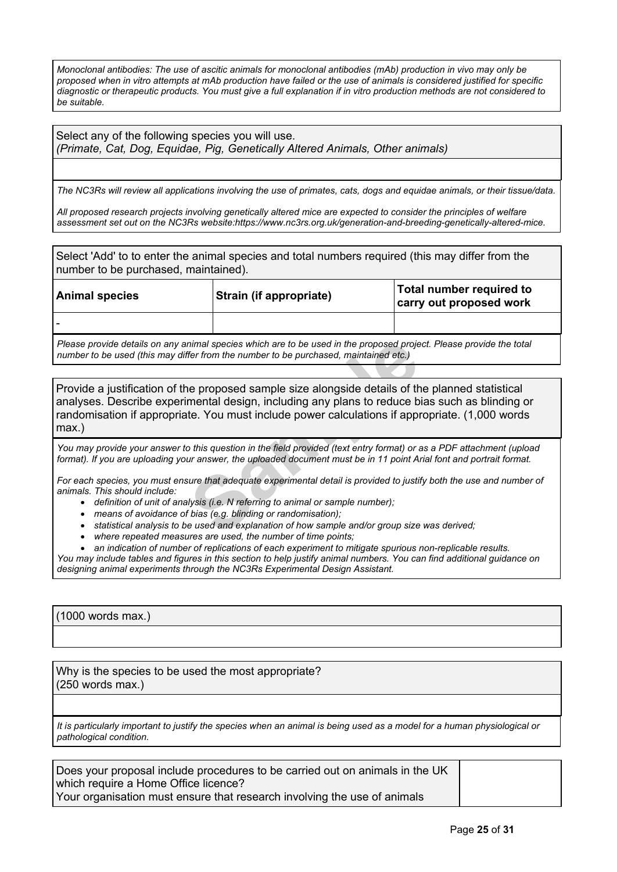Monoclonal antibodies: The use of ascitic animals for monoclonal antibodies (mAb) production in vivo may only be proposed when in vitro attempts at mAb production have failed or the use of animals is considered justified for specific diagnostic or therapeutic products. You must give a full explanation if in vitro production methods are not considered to *be suitable.*

Select any of the following species you will use. *(Primate, Cat, Dog, Equidae, Pig, Genetically Altered Animals, Other animals)*

The NC3Rs will review all applications involving the use of primates, cats, dogs and equidae animals, or their tissue/data.

All proposed research projects involving genetically altered mice are expected to consider the principles of welfare *assessment set out on the NC3Rs website:[https://www.nc3rs.org.uk/generation-and-breeding-genetically-altered-mice.](https://www.nc3rs.org.uk/generation-and-breeding-genetically-altered-mice)*

Select 'Add' to to enter the animal species and total numbers required (this may differ from the number to be purchased, maintained).

| <b>Animal species</b>                                                                                               | Strain (if appropriate) | Total number required to<br>carry out proposed work |  |
|---------------------------------------------------------------------------------------------------------------------|-------------------------|-----------------------------------------------------|--|
|                                                                                                                     |                         |                                                     |  |
| Plasse provide details on any animal species which are to be used in the proposed project. Please provide the total |                         |                                                     |  |

vvide details on any animal species which are to be used in the propo *number to be used (this may differ from the number to be purchased, maintained etc.)*

nimal species which are to be used in the proposed proje<br>
fer from the number to be purchased, maintained etc.)<br> **Sample** size alongside details of the<br> **Sample** size alongside details of the<br> **Sample** size alongside detai Provide a justification of the proposed sample size alongside details of the planned statistical analyses. Describe experimental design, including any plans to reduce bias such as blinding or randomisation if appropriate. You must include power calculations if appropriate. (1,000 words max.)

You may provide your answer to this question in the field provided (text entry format) or as a PDF attachment (upload format). If you are uploading your answer, the uploaded document must be in 11 point Arial font and portrait format.

For each species, you must ensure that adequate experimental detail is provided to justify both the use and number of *animals. This should include:*

- *definition of unit of analysis (i.e. N referring to animal or sample number);*
- *means of avoidance of bias (e.g. blinding or randomisation);*
- *statistical analysis to be used and explanation of how sample and/or group size was derived;*
- *where repeated measures are used, the number of time points;*
- *an indication of number of replications of each experiment to mitigate spurious non-replicable results.*

You may include tables and figures in this section to help justify animal numbers. You can find additional guidance on *designing animal experiments through the NC3Rs [Experimental](https://www.nc3rs.org.uk/experimental-design-assistant-eda) Design Assistant.*

(1000 words max.)

Why is the species to be used the most appropriate? (250 words max.)

It is particularly important to justify the species when an animal is being used as a model for a human physiological or *pathological condition.*

Does your proposal include procedures to be carried out on animals in the UK which require a Home Office licence? Your organisation must ensure that research involving the use of animals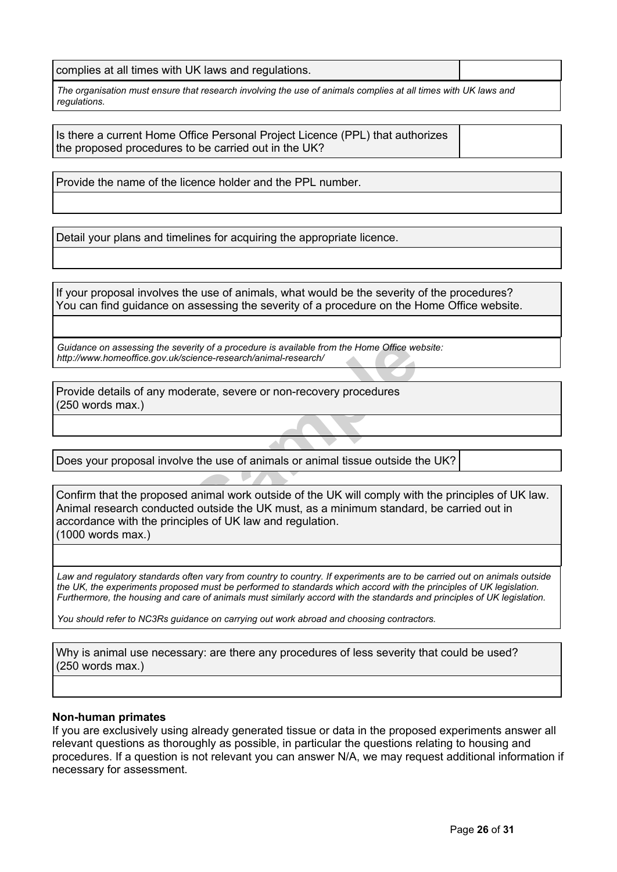complies at all times with UK laws and regulations.

The organisation must ensure that research involving the use of animals complies at all times with UK laws and *regulations.*

Is there a current Home Office Personal Project Licence (PPL) that authorizes the proposed procedures to be carried out in the UK?

Provide the name of the licence holder and the PPL number.

Detail your plans and timelines for acquiring the appropriate licence.

If your proposal involves the use of animals, what would be the severity of the procedures? You can find guidance on assessing the severity of a procedure on the Home Office [website.](http://www.homeoffice.gov.uk/science-research/animal-research/)

*Guidance on assessing the severity of a procedure is available from the Home Office website: <http://www.homeoffice.gov.uk/science-research/animal-research/>*

Provide details of any moderate, severe or non-recovery procedures (250 words max.)

Does your proposal involve the use of animals or animal tissue outside the UK?

Firsty of a procedure is available from the Home Office we<br>
Science-research/animal-research/<br>
Jerate, severe or non-recovery procedures<br>
Figures of animals or animal tissue outside the<br>
Sammal work outside of the UK will Confirm that the proposed animal work outside of the UK will comply with the principles of UK law. Animal research conducted outside the UK must, as a minimum standard, be carried out in accordance with the principles of UK law and regulation. (1000 words max.)

Law and requlatory standards often vary from country to country. If experiments are to be carried out on animals outside the UK, the experiments proposed must be performed to standards which accord with the principles of UK legislation. Furthermore, the housing and care of animals must similarly accord with the standards and principles of UK legislation.

*You should refer to NC3Rs [guidance](https://www.nc3rs.org.uk/news/choosing-contractors-animal-research) on carrying out work abroad and choosing contractors.*

Why is animal use necessary: are there any procedures of less severity that could be used? (250 words max.)

#### **Non-human primates**

If you are exclusively using already generated tissue or data in the proposed experiments answer all relevant questions as thoroughly as possible, in particular the questions relating to housing and procedures. If a question is not relevant you can answer N/A, we may request additional information if necessary for assessment.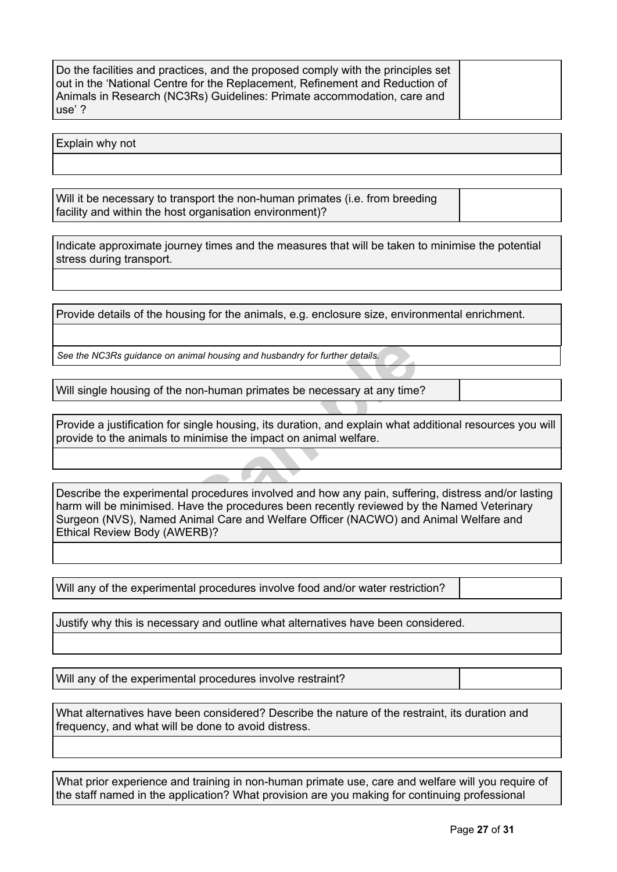Do the facilities and practices, and the proposed comply with the principles set out in the 'National Centre for the Replacement, Refinement and Reduction of Animals in Research (NC3Rs) Guidelines: Primate [accommodation,](http://www.nc3rs.org.uk/non-human-primate-accommodation-care-and-use) care and [use'](http://www.nc3rs.org.uk/non-human-primate-accommodation-care-and-use) ?

Explain why not

Will it be necessary to transport the non-human primates (i.e. from breeding facility and within the host organisation environment)?

Indicate approximate journey times and the measures that will be taken to minimise the potential stress during transport.

Provide details of the housing for the animals, e.g. enclosure size, environmental enrichment.

*See the NC3Rs [guidance](http://www.nc3rs.org.uk/3rs-resources/housing-and-husbandry) on animal housing and husbandry for further details.*

Will single housing of the non-human primates be necessary at any time?

Provide a justification for single housing, its duration, and explain what additional resources you will provide to the animals to minimise the impact on animal welfare.

Final housing and husbandry for further details.<br> **Sample Housing, its duration, and explain what are single housing, its duration, and explain what are similar<br>
Sample procedures involved and how any pain, suffer<br>
<b>Sample** Describe the experimental procedures involved and how any pain, suffering, distress and/or lasting harm will be minimised. Have the procedures been recently reviewed by the Named Veterinary Surgeon (NVS), Named Animal Care and Welfare Officer (NACWO) and Animal Welfare and Ethical Review Body (AWERB)?

Will any of the experimental procedures involve food and/or water restriction?

Justify why this is necessary and outline what alternatives have been considered.

Will any of the experimental procedures involve restraint?

What alternatives have been considered? Describe the nature of the restraint, its duration and frequency, and what will be done to avoid distress.

What prior experience and training in non-human primate use, care and welfare will you require of the staff named in the application? What provision are you making for continuing professional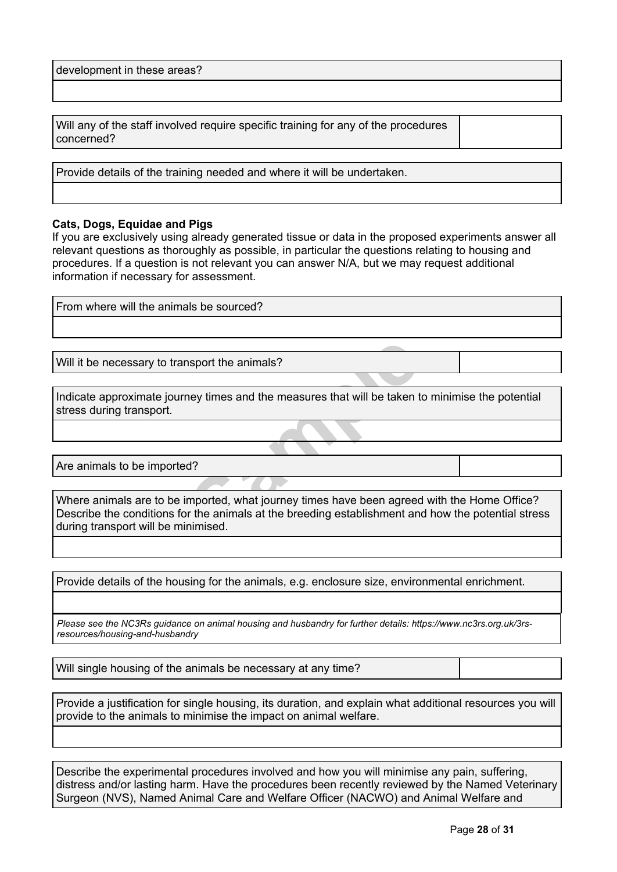development in these areas?

Will any of the staff involved require specific training for any of the procedures concerned?

Provide details of the training needed and where it will be undertaken.

### **Cats, Dogs, Equidae and Pigs**

If you are exclusively using already generated tissue or data in the proposed experiments answer all relevant questions as thoroughly as possible, in particular the questions relating to housing and procedures. If a question is not relevant you can answer N/A, but we may request additional information if necessary for assessment.

| From where will the animals be sourced?                                                                                                                                                                                                  |  |
|------------------------------------------------------------------------------------------------------------------------------------------------------------------------------------------------------------------------------------------|--|
|                                                                                                                                                                                                                                          |  |
|                                                                                                                                                                                                                                          |  |
| Will it be necessary to transport the animals?                                                                                                                                                                                           |  |
|                                                                                                                                                                                                                                          |  |
| Indicate approximate journey times and the measures that will be taken to minimise the potential<br>stress during transport.                                                                                                             |  |
|                                                                                                                                                                                                                                          |  |
|                                                                                                                                                                                                                                          |  |
| Are animals to be imported?                                                                                                                                                                                                              |  |
|                                                                                                                                                                                                                                          |  |
| Where animals are to be imported, what journey times have been agreed with the Home Office?<br>Describe the conditions for the animals at the breeding establishment and how the potential stress<br>during transport will be minimised. |  |

Provide details of the housing for the animals, e.g. enclosure size, environmental enrichment.

*Please see the NC3Rs guidance on animal housing and husbandry for further details: [https://www.nc3rs.org.uk/3rs](http://www.nc3rs.org.uk/3rs-resources/housing-and-husbandry)[resources/housing-and-husbandry](http://www.nc3rs.org.uk/3rs-resources/housing-and-husbandry)*

Will single housing of the animals be necessary at any time?

Provide a justification for single housing, its duration, and explain what additional resources you will provide to the animals to minimise the impact on animal welfare.

Describe the experimental procedures involved and how you will minimise any pain, suffering, distress and/or lasting harm. Have the procedures been recently reviewed by the Named Veterinary Surgeon (NVS), Named Animal Care and Welfare Officer (NACWO) and Animal Welfare and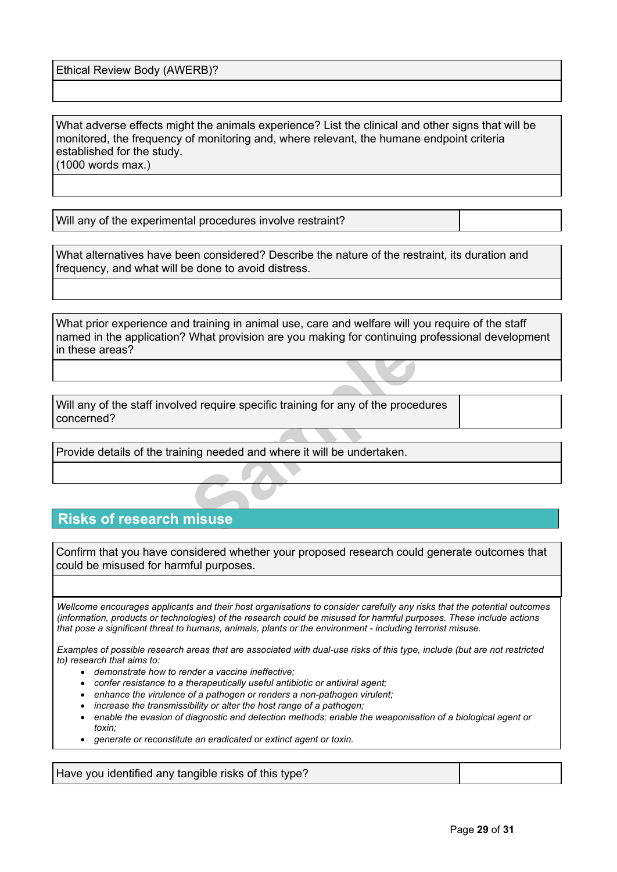Ethical Review Body (AWERB)?

What adverse effects might the animals experience? List the clinical and other signs that will be monitored, the frequency of monitoring and, where relevant, the humane endpoint criteria established for the study. (1000 words max.)

Will any of the experimental procedures involve restraint?

What alternatives have been considered? Describe the nature of the restraint, its duration and frequency, and what will be done to avoid distress.

What prior experience and training in animal use, care and welfare will you require of the staff named in the application? What provision are you making for continuing professional development in these areas?

**Sample 1998 Many Set Continuing**<br> **Sample 1999 Many 1999 Many 1999 Many Set Continuing**<br> **Sample 1999 Many Set Continuing**<br> **Sample 1999 Many Set Continuing**<br> **Sample 1999 Many Set Continuing**<br> **Sample 1999 Many Set Conti** Will any of the staff involved require specific training for any of the procedures concerned?

Provide details of the training needed and where it will be undertaken.

# **Risks of research misuse**

Confirm that you have considered whether your proposed research could generate outcomes that could be misused for harmful purposes.

Wellcome encourages applicants and their host organisations to consider carefully any risks that the potential outcomes (information, products or technologies) of the research could be misused for harmful purposes. These include actions *that pose a significant threat to humans, animals, plants or the environment - including terrorist misuse.*

Examples of possible research areas that are associated with dual-use risks of this type, include (but are not restricted *to) research that aims to:*

- *demonstrate how to render a vaccine ineffective;*
- *confer resistance to a therapeutically useful antibiotic or antiviral agent;*
- *enhance the virulence of a pathogen or renders a non-pathogen virulent;*
- *increase the transmissibility or alter the host range of a pathogen;*
- *enable the evasion of diagnostic and detection methods; enable the weaponisation of a biological agent or toxin;*
- *generate or reconstitute an eradicated or extinct agent or toxin.*

Have you identified any tangible risks of this type?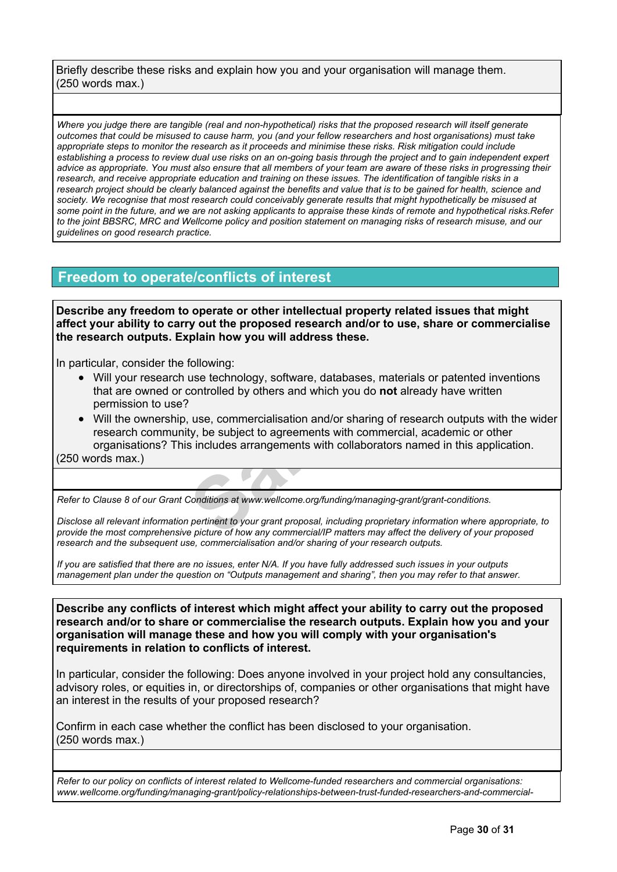Briefly describe these risks and explain how you and your organisation will manage them. (250 words max.)

Where you judge there are tangible (real and non-hypothetical) risks that the proposed research will itself generate outcomes that could be misused to cause harm, you (and your fellow researchers and host organisations) must take appropriate steps to monitor the research as it proceeds and minimise these risks. Risk mitigation could include establishing a process to review dual use risks on an on-going basis through the project and to gain independent expert advice as appropriate. You must also ensure that all members of your team are aware of these risks in progressing their research, and receive appropriate education and training on these issues. The identification of tangible risks in a research project should be clearly balanced against the benefits and value that is to be gained for health, science and society. We recognise that most research could conceivably generate results that might hypothetically be misused at some point in the future, and we are not asking applicants to appraise these kinds of remote and hypothetical risks. Refer to the joint BBSRC, MRC and Wellcome policy and position statement on managing risks of [research](https://wellcome.org/funding/managing-grant/managing-risks-research-misuse) misuse, and our *guidelines on good [research](https://wellcome.org/funding/managing-grant/policy-good-research-practice) practice.*

# **Freedom to operate/conflicts of interest**

**Describe any freedom to operate or other intellectual property related issues that might affect your ability to carry out the proposed research and/or to use, share or commercialise the research outputs. Explain how you will address these.**

In particular, consider the following:

 Will your research use technology, software, databases, materials or patented inventions that are owned or controlled by others and which you do **not** already have written permission to use?

following:<br>tollowing:<br>tollowing:<br>tollowing:<br>total controlled by others and which you do **not** already,<br>i.e., use, commercialisation and/or sharing of rese<br>ty, be subject to agreements with commercial,<br>sincludes arrangement Will the ownership, use, commercialisation and/or sharing of research outputs with the wider research community, be subject to agreements with commercial, academic or other organisations? This includes arrangements with collaborators named in this application. (250 words max.)

*Refer to Clause 8 of our Grant Conditions at [www.wellcome.org/funding/managing-grant/grant-conditions.](http://www.wellcome.ac.uk/funding/managing-grant/grant-conditions)*

Disclose all relevant information pertinent to your grant proposal, including proprietary information where appropriate, to provide the most comprehensive picture of how any commercial/IP matters may affect the delivery of your proposed *research and the subsequent use, commercialisation and/or sharing of your research outputs.*

If you are satisfied that there are no issues, enter N/A. If you have fully addressed such issues in your outputs management plan under the question on "Outputs management and sharing", then you may refer to that answer.

**Describe any conflicts of interest which might affect your ability to carry out the proposed research and/or to share or commercialise the research outputs. Explain how you and your organisation will manage these and how you will comply with your organisation's requirements in relation to conflicts of interest.**

In particular, consider the following: Does anyone involved in your project hold any consultancies, advisory roles, or equities in, or directorships of, companies or other organisations that might have an interest in the results of your proposed research?

Confirm in each case whether the conflict has been disclosed to your organisation. (250 words max.)

*Refer to our policy on conflicts of interest related to Wellcome-funded researchers and commercial organisations: [www.wellcome.org/funding/managing-grant/policy-relationships-between-trust-funded-researchers-and-commercial-](http://www.wellcome.ac.uk/funding/managing-grant/policy-relationships-between-trust-funded-researchers-and-commercial-organisations)*